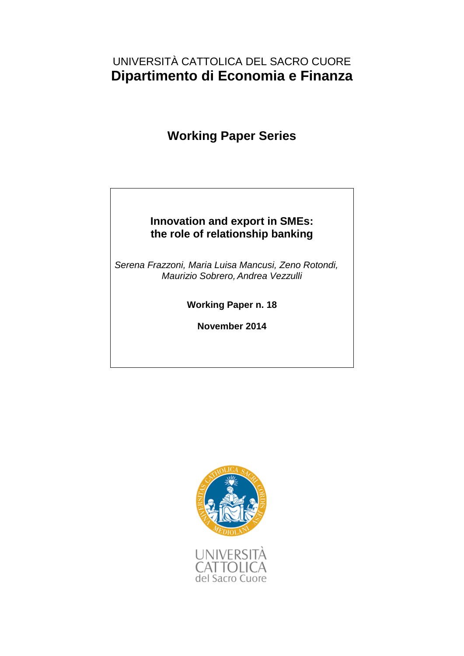### UNIVERSITÀ CATTOLICA DEL SACRO CUORE **Dipartimento di Economia e Finanza**

# **Working Paper Series**

### **Innovation and export in SMEs: the role of relationship banking**

*Serena Frazzoni, Maria Luisa Mancusi, Zeno Rotondi, Maurizio Sobrero,Andrea Vezzulli*

**Working Paper n. 18**

**November 2014**

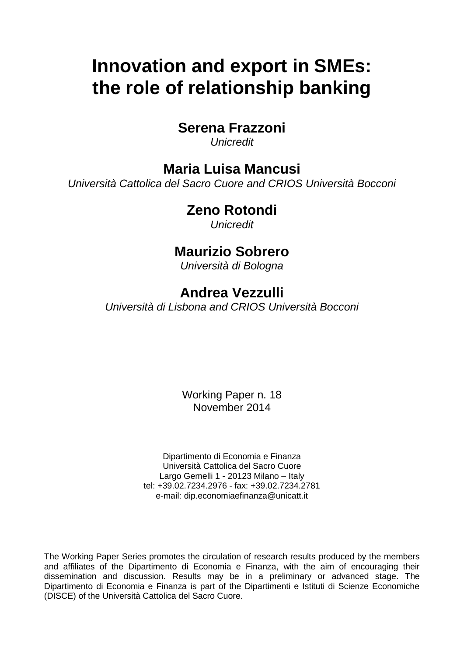# **Innovation and export in SMEs: the role of relationship banking**

### **Serena Frazzoni**

*Unicredit*

### **Maria Luisa Mancusi**

*Università Cattolica del Sacro Cuore and CRIOS Università Bocconi*

### **Zeno Rotondi**

*Unicredit*

### **Maurizio Sobrero**

*Università di Bologna*

## **Andrea Vezzulli**

*Università di Lisbona and CRIOS Università Bocconi*

Working Paper n. 18 November 2014

Dipartimento di Economia e Finanza Università Cattolica del Sacro Cuore Largo Gemelli 1 - 20123 Milano – Italy tel: +39.02.7234.2976 - fax: +39.02.7234.2781 e-mail: dip.economiaefinanza@unicatt.it

The Working Paper Series promotes the circulation of research results produced by the members and affiliates of the Dipartimento di Economia e Finanza, with the aim of encouraging their dissemination and discussion. Results may be in a preliminary or advanced stage. The Dipartimento di Economia e Finanza is part of the Dipartimenti e Istituti di Scienze Economiche (DISCE) of the Università Cattolica del Sacro Cuore.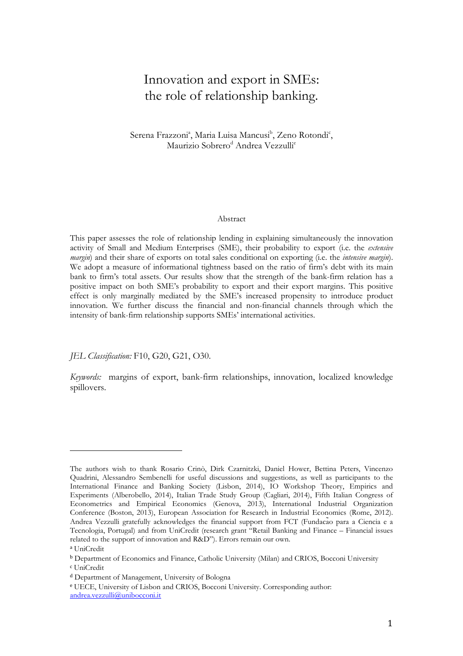### Innovation and export in SMEs: the role of relationship banking.

Serena Frazzoni<sup>a</sup>, Maria Luisa Mancusi<sup>b</sup>, Zeno Rotondi<sup>c</sup>, Maurizio Sobrero<sup>d</sup> Andrea Vezzulli<sup>e</sup>

#### Abstract

This paper assesses the role of relationship lending in explaining simultaneously the innovation activity of Small and Medium Enterprises (SME), their probability to export (i.e. the extensive *margin*) and their share of exports on total sales conditional on exporting (i.e. the *intensive margin*). We adopt a measure of informational tightness based on the ratio of firm's debt with its main bank to firm's total assets. Our results show that the strength of the bank-firm relation has a positive impact on both SME's probability to export and their export margins. This positive effect is only marginally mediated by the SME's increased propensity to introduce product innovation. We further discuss the financial and non-financial channels through which the intensity of bank-firm relationship supports SMEs' international activities.

JEL Classification: F10, G20, G21, O30.

Keywords: margins of export, bank-firm relationships, innovation, localized knowledge spillovers.

The authors wish to thank Rosario Crinò, Dirk Czarnitzki, Daniel Hower, Bettina Peters, Vincenzo Quadrini, Alessandro Sembenelli for useful discussions and suggestions, as well as participants to the International Finance and Banking Society (Lisbon, 2014), IO Workshop Theory, Empirics and Experiments (Alberobello, 2014), Italian Trade Study Group (Cagliari, 2014), Fifth Italian Congress of Econometrics and Empirical Economics (Genova, 2013), International Industrial Organization Conference (Boston, 2013), European Association for Research in Industrial Economics (Rome, 2012). Andrea Vezzulli gratefully acknowledges the financial support from FCT (Fundacão para a Ciencia e a Tecnologia, Portugal) and from UniCredit (research grant "Retail Banking and Finance – Financial issues related to the support of innovation and R&D"). Errors remain our own.

<sup>a</sup> UniCredit

<sup>b</sup> Department of Economics and Finance, Catholic University (Milan) and CRIOS, Bocconi University

<sup>c</sup> UniCredit

<sup>d</sup> Department of Management, University of Bologna

<sup>e</sup> UECE, University of Lisbon and CRIOS, Bocconi University. Corresponding author: andrea.vezzulli@unibocconi.it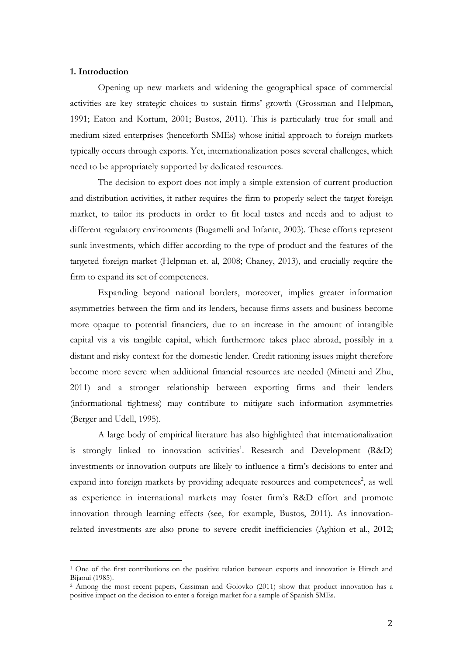#### 1. Introduction

 $\overline{a}$ 

Opening up new markets and widening the geographical space of commercial activities are key strategic choices to sustain firms' growth (Grossman and Helpman, 1991; Eaton and Kortum, 2001; Bustos, 2011). This is particularly true for small and medium sized enterprises (henceforth SMEs) whose initial approach to foreign markets typically occurs through exports. Yet, internationalization poses several challenges, which need to be appropriately supported by dedicated resources.

The decision to export does not imply a simple extension of current production and distribution activities, it rather requires the firm to properly select the target foreign market, to tailor its products in order to fit local tastes and needs and to adjust to different regulatory environments (Bugamelli and Infante, 2003). These efforts represent sunk investments, which differ according to the type of product and the features of the targeted foreign market (Helpman et. al, 2008; Chaney, 2013), and crucially require the firm to expand its set of competences.

Expanding beyond national borders, moreover, implies greater information asymmetries between the firm and its lenders, because firms assets and business become more opaque to potential financiers, due to an increase in the amount of intangible capital vis a vis tangible capital, which furthermore takes place abroad, possibly in a distant and risky context for the domestic lender. Credit rationing issues might therefore become more severe when additional financial resources are needed (Minetti and Zhu, 2011) and a stronger relationship between exporting firms and their lenders (informational tightness) may contribute to mitigate such information asymmetries (Berger and Udell, 1995).

A large body of empirical literature has also highlighted that internationalization is strongly linked to innovation activities<sup>1</sup>. Research and Development (R&D) investments or innovation outputs are likely to influence a firm's decisions to enter and expand into foreign markets by providing adequate resources and competences<sup>2</sup>, as well as experience in international markets may foster firm's R&D effort and promote innovation through learning effects (see, for example, Bustos, 2011). As innovationrelated investments are also prone to severe credit inefficiencies (Aghion et al., 2012;

<sup>&</sup>lt;sup>1</sup> One of the first contributions on the positive relation between exports and innovation is Hirsch and Bijaoui (1985).

<sup>2</sup> Among the most recent papers, Cassiman and Golovko (2011) show that product innovation has a positive impact on the decision to enter a foreign market for a sample of Spanish SMEs.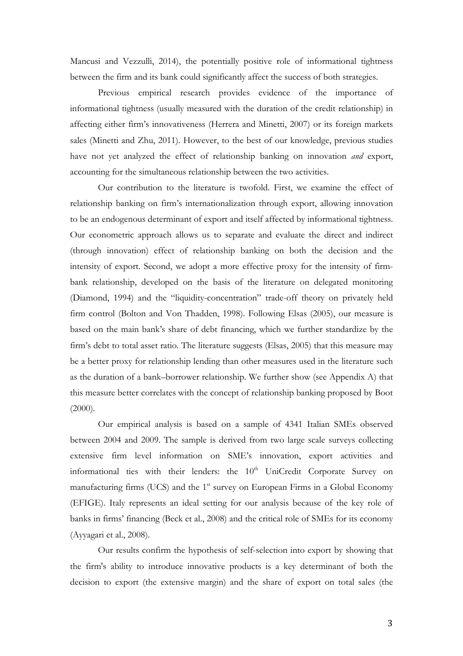Mancusi and Vezzulli, 2014), the potentially positive role of informational tightness between the firm and its bank could significantly affect the success of both strategies.

Previous empirical research provides evidence of the importance of informational tightness (usually measured with the duration of the credit relationship) in affecting either firm's innovativeness (Herrera and Minetti, 2007) or its foreign markets sales (Minetti and Zhu, 2011). However, to the best of our knowledge, previous studies have not yet analyzed the effect of relationship banking on innovation *and* export, accounting for the simultaneous relationship between the two activities.

Our contribution to the literature is twofold. First, we examine the effect of relationship banking on firm's internationalization through export, allowing innovation to be an endogenous determinant of export and itself affected by informational tightness. Our econometric approach allows us to separate and evaluate the direct and indirect (through innovation) effect of relationship banking on both the decision and the intensity of export. Second, we adopt a more effective proxy for the intensity of firmbank relationship, developed on the basis of the literature on delegated monitoring (Diamond, 1994) and the "liquidity-concentration" trade-off theory on privately held firm control (Bolton and Von Thadden, 1998). Following Elsas (2005), our measure is based on the main bank's share of debt financing, which we further standardize by the firm's debt to total asset ratio. The literature suggests (Elsas, 2005) that this measure may be a better proxy for relationship lending than other measures used in the literature such as the duration of a bank–borrower relationship. We further show (see Appendix A) that this measure better correlates with the concept of relationship banking proposed by Boot (2000).

Our empirical analysis is based on a sample of 4341 Italian SMEs observed between 2004 and 2009. The sample is derived from two large scale surveys collecting extensive firm level information on SME's innovation, export activities and informational ties with their lenders: the  $10<sup>th</sup>$  UniCredit Corporate Survey on manufacturing firms (UCS) and the 1<sup>st</sup> survey on European Firms in a Global Economy (EFIGE). Italy represents an ideal setting for our analysis because of the key role of banks in firms' financing (Beck et al., 2008) and the critical role of SMEs for its economy (Ayyagari et al., 2008).

Our results confirm the hypothesis of self-selection into export by showing that the firm's ability to introduce innovative products is a key determinant of both the decision to export (the extensive margin) and the share of export on total sales (the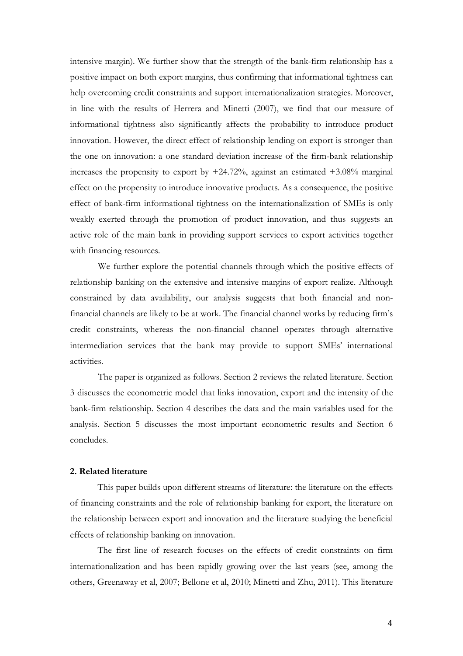intensive margin). We further show that the strength of the bank-firm relationship has a positive impact on both export margins, thus confirming that informational tightness can help overcoming credit constraints and support internationalization strategies. Moreover, in line with the results of Herrera and Minetti (2007), we find that our measure of informational tightness also significantly affects the probability to introduce product innovation. However, the direct effect of relationship lending on export is stronger than the one on innovation: a one standard deviation increase of the firm-bank relationship increases the propensity to export by  $+24.72\%$ , against an estimated  $+3.08\%$  marginal effect on the propensity to introduce innovative products. As a consequence, the positive effect of bank-firm informational tightness on the internationalization of SMEs is only weakly exerted through the promotion of product innovation, and thus suggests an active role of the main bank in providing support services to export activities together with financing resources.

We further explore the potential channels through which the positive effects of relationship banking on the extensive and intensive margins of export realize. Although constrained by data availability, our analysis suggests that both financial and nonfinancial channels are likely to be at work. The financial channel works by reducing firm's credit constraints, whereas the non-financial channel operates through alternative intermediation services that the bank may provide to support SMEs' international activities.

The paper is organized as follows. Section 2 reviews the related literature. Section 3 discusses the econometric model that links innovation, export and the intensity of the bank-firm relationship. Section 4 describes the data and the main variables used for the analysis. Section 5 discusses the most important econometric results and Section 6 concludes.

#### 2. Related literature

This paper builds upon different streams of literature: the literature on the effects of financing constraints and the role of relationship banking for export, the literature on the relationship between export and innovation and the literature studying the beneficial effects of relationship banking on innovation.

The first line of research focuses on the effects of credit constraints on firm internationalization and has been rapidly growing over the last years (see, among the others, Greenaway et al, 2007; Bellone et al, 2010; Minetti and Zhu, 2011). This literature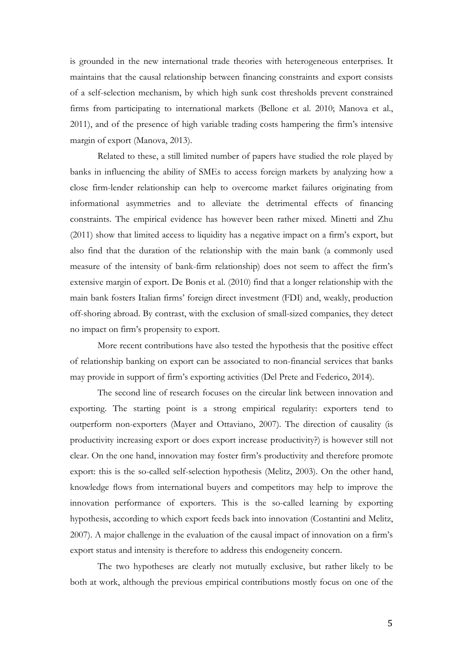is grounded in the new international trade theories with heterogeneous enterprises. It maintains that the causal relationship between financing constraints and export consists of a self-selection mechanism, by which high sunk cost thresholds prevent constrained firms from participating to international markets (Bellone et al. 2010; Manova et al., 2011), and of the presence of high variable trading costs hampering the firm's intensive margin of export (Manova, 2013).

Related to these, a still limited number of papers have studied the role played by banks in influencing the ability of SMEs to access foreign markets by analyzing how a close firm-lender relationship can help to overcome market failures originating from informational asymmetries and to alleviate the detrimental effects of financing constraints. The empirical evidence has however been rather mixed. Minetti and Zhu (2011) show that limited access to liquidity has a negative impact on a firm's export, but also find that the duration of the relationship with the main bank (a commonly used measure of the intensity of bank-firm relationship) does not seem to affect the firm's extensive margin of export. De Bonis et al. (2010) find that a longer relationship with the main bank fosters Italian firms' foreign direct investment (FDI) and, weakly, production off-shoring abroad. By contrast, with the exclusion of small-sized companies, they detect no impact on firm's propensity to export.

More recent contributions have also tested the hypothesis that the positive effect of relationship banking on export can be associated to non-financial services that banks may provide in support of firm's exporting activities (Del Prete and Federico, 2014).

The second line of research focuses on the circular link between innovation and exporting. The starting point is a strong empirical regularity: exporters tend to outperform non-exporters (Mayer and Ottaviano, 2007). The direction of causality (is productivity increasing export or does export increase productivity?) is however still not clear. On the one hand, innovation may foster firm's productivity and therefore promote export: this is the so-called self-selection hypothesis (Melitz, 2003). On the other hand, knowledge flows from international buyers and competitors may help to improve the innovation performance of exporters. This is the so-called learning by exporting hypothesis, according to which export feeds back into innovation (Costantini and Melitz, 2007). A major challenge in the evaluation of the causal impact of innovation on a firm's export status and intensity is therefore to address this endogeneity concern.

The two hypotheses are clearly not mutually exclusive, but rather likely to be both at work, although the previous empirical contributions mostly focus on one of the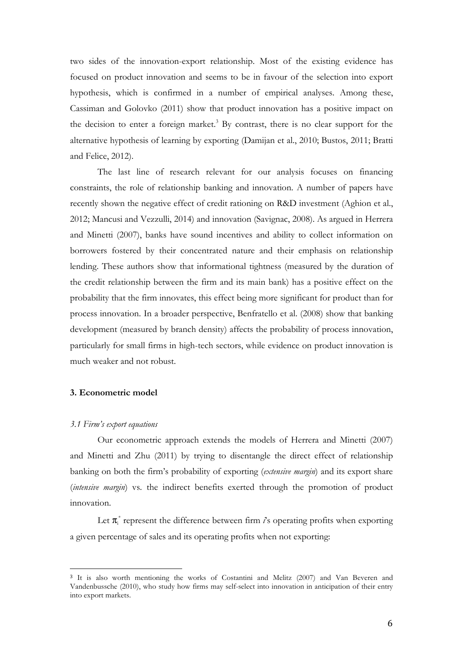two sides of the innovation-export relationship. Most of the existing evidence has focused on product innovation and seems to be in favour of the selection into export hypothesis, which is confirmed in a number of empirical analyses. Among these, Cassiman and Golovko (2011) show that product innovation has a positive impact on the decision to enter a foreign market.<sup>3</sup> By contrast, there is no clear support for the alternative hypothesis of learning by exporting (Damijan et al., 2010; Bustos, 2011; Bratti and Felice, 2012).

The last line of research relevant for our analysis focuses on financing constraints, the role of relationship banking and innovation. A number of papers have recently shown the negative effect of credit rationing on R&D investment (Aghion et al., 2012; Mancusi and Vezzulli, 2014) and innovation (Savignac, 2008). As argued in Herrera and Minetti (2007), banks have sound incentives and ability to collect information on borrowers fostered by their concentrated nature and their emphasis on relationship lending. These authors show that informational tightness (measured by the duration of the credit relationship between the firm and its main bank) has a positive effect on the probability that the firm innovates, this effect being more significant for product than for process innovation. In a broader perspective, Benfratello et al. (2008) show that banking development (measured by branch density) affects the probability of process innovation, particularly for small firms in high-tech sectors, while evidence on product innovation is much weaker and not robust.

#### 3. Econometric model

#### 3.1 Firm's export equations

 $\overline{a}$ 

Our econometric approach extends the models of Herrera and Minetti (2007) and Minetti and Zhu (2011) by trying to disentangle the direct effect of relationship banking on both the firm's probability of exporting (extensive margin) and its export share (intensive margin) vs. the indirect benefits exerted through the promotion of product innovation.

Let  $\pi$ <sup>\*</sup> represent the difference between firm  $i$ 's operating profits when exporting a given percentage of sales and its operating profits when not exporting:

<sup>3</sup> It is also worth mentioning the works of Costantini and Melitz (2007) and Van Beveren and Vandenbussche (2010), who study how firms may self-select into innovation in anticipation of their entry into export markets.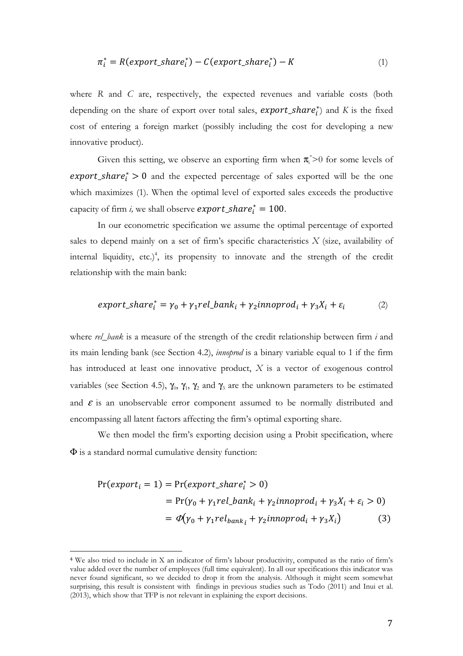$$
\pi_i^* = R(export\_share_i^*) - C(export\_share_i^*) - K \tag{1}
$$

where R and C are, respectively, the expected revenues and variable costs (both depending on the share of export over total sales,  $\mathit{expert\_share}_i^*$  and K is the fixed cost of entering a foreign market (possibly including the cost for developing a new innovative product).

Given this setting, we observe an exporting firm when  $\pi_i^*$ >0 for some levels of  $\textit{expert\_share}_i^* > 0$  and the expected percentage of sales exported will be the one which maximizes (1). When the optimal level of exported sales exceeds the productive capacity of firm *i*, we shall observe  $\export\_share_i^* = 100$ .

In our econometric specification we assume the optimal percentage of exported sales to depend mainly on a set of firm's specific characteristics  $X$  (size, availability of internal liquidity, etc.)<sup>4</sup>, its propensity to innovate and the strength of the credit relationship with the main bank:

$$
export\_share_i^* = \gamma_0 + \gamma_1 rel\_bank_i + \gamma_2 in noprod_i + \gamma_3 X_i + \varepsilon_i
$$
 (2)

where rel\_bank is a measure of the strength of the credit relationship between firm i and its main lending bank (see Section 4.2), innoprod is a binary variable equal to 1 if the firm has introduced at least one innovative product, X is a vector of exogenous control variables (see Section 4.5),  $\gamma_0$ ,  $\gamma_1$ ,  $\gamma_2$  and  $\gamma_3$  are the unknown parameters to be estimated and  $\varepsilon$  is an unobservable error component assumed to be normally distributed and encompassing all latent factors affecting the firm's optimal exporting share.

We then model the firm's exporting decision using a Probit specification, where Φ is a standard normal cumulative density function:

$$
Pr(export_i = 1) = Pr(export\_share_i^* > 0)
$$
  
= Pr( $\gamma_0 + \gamma_1 rel\_bank_i + \gamma_2 in noprod_i + \gamma_3 X_i + \varepsilon_i > 0$ )  
=  $\Phi(\gamma_0 + \gamma_1 rel_{bank_i} + \gamma_2 in noprod_i + \gamma_3 X_i)$  (3)

<sup>4</sup> We also tried to include in X an indicator of firm's labour productivity, computed as the ratio of firm's value added over the number of employees (full time equivalent). In all our specifications this indicator was never found significant, so we decided to drop it from the analysis. Although it might seem somewhat surprising, this result is consistent with findings in previous studies such as Todo (2011) and Inui et al. (2013), which show that TFP is not relevant in explaining the export decisions.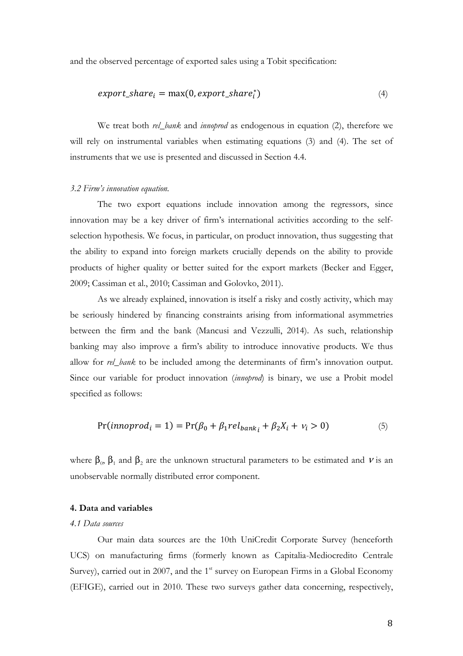and the observed percentage of exported sales using a Tobit specification:

$$
export\_share_i = \max(0, export\_share_i^*)
$$
\n(4)

We treat both *rel\_bank* and *innoprod* as endogenous in equation (2), therefore we will rely on instrumental variables when estimating equations (3) and (4). The set of instruments that we use is presented and discussed in Section 4.4.

#### 3.2 Firm's innovation equation.

The two export equations include innovation among the regressors, since innovation may be a key driver of firm's international activities according to the selfselection hypothesis. We focus, in particular, on product innovation, thus suggesting that the ability to expand into foreign markets crucially depends on the ability to provide products of higher quality or better suited for the export markets (Becker and Egger, 2009; Cassiman et al., 2010; Cassiman and Golovko, 2011).

As we already explained, innovation is itself a risky and costly activity, which may be seriously hindered by financing constraints arising from informational asymmetries between the firm and the bank (Mancusi and Vezzulli, 2014). As such, relationship banking may also improve a firm's ability to introduce innovative products. We thus allow for rel\_bank to be included among the determinants of firm's innovation output. Since our variable for product innovation (innoprod) is binary, we use a Probit model specified as follows:

$$
Pr(innoprod_i = 1) = Pr(\beta_0 + \beta_1 rel_{bank_i} + \beta_2 X_i + v_i > 0)
$$
\n
$$
(5)
$$

where  $\beta_0$ ,  $\beta_1$  and  $\beta_2$  are the unknown structural parameters to be estimated and  $\nu$  is an unobservable normally distributed error component.

#### 4. Data and variables

#### 4.1 Data sources

Our main data sources are the 10th UniCredit Corporate Survey (henceforth UCS) on manufacturing firms (formerly known as Capitalia-Mediocredito Centrale Survey), carried out in 2007, and the  $1<sup>st</sup>$  survey on European Firms in a Global Economy (EFIGE), carried out in 2010. These two surveys gather data concerning, respectively,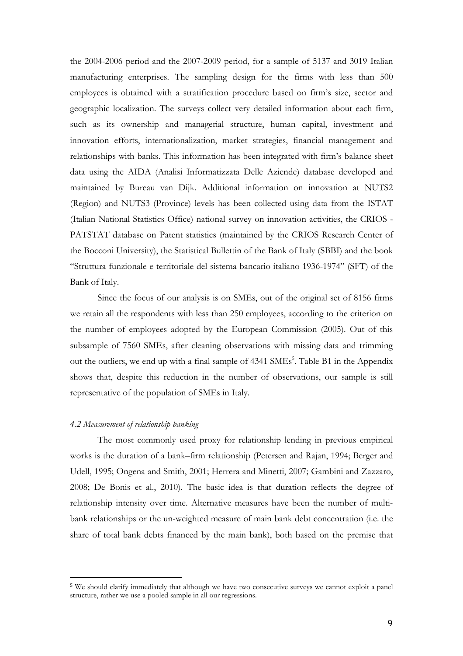the 2004-2006 period and the 2007-2009 period, for a sample of 5137 and 3019 Italian manufacturing enterprises. The sampling design for the firms with less than 500 employees is obtained with a stratification procedure based on firm's size, sector and geographic localization. The surveys collect very detailed information about each firm, such as its ownership and managerial structure, human capital, investment and innovation efforts, internationalization, market strategies, financial management and relationships with banks. This information has been integrated with firm's balance sheet data using the AIDA (Analisi Informatizzata Delle Aziende) database developed and maintained by Bureau van Dijk. Additional information on innovation at NUTS2 (Region) and NUTS3 (Province) levels has been collected using data from the ISTAT (Italian National Statistics Office) national survey on innovation activities, the CRIOS - PATSTAT database on Patent statistics (maintained by the CRIOS Research Center of the Bocconi University), the Statistical Bullettin of the Bank of Italy (SBBI) and the book "Struttura funzionale e territoriale del sistema bancario italiano 1936-1974" (SFT) of the Bank of Italy.

Since the focus of our analysis is on SMEs, out of the original set of 8156 firms we retain all the respondents with less than 250 employees, according to the criterion on the number of employees adopted by the European Commission (2005). Out of this subsample of 7560 SMEs, after cleaning observations with missing data and trimming out the outliers, we end up with a final sample of 4341 SMEs<sup>5</sup>. Table B1 in the Appendix shows that, despite this reduction in the number of observations, our sample is still representative of the population of SMEs in Italy.

#### 4.2 Measurement of relationship banking

 $\overline{a}$ 

The most commonly used proxy for relationship lending in previous empirical works is the duration of a bank–firm relationship (Petersen and Rajan, 1994; Berger and Udell, 1995; Ongena and Smith, 2001; Herrera and Minetti, 2007; Gambini and Zazzaro, 2008; De Bonis et al., 2010). The basic idea is that duration reflects the degree of relationship intensity over time. Alternative measures have been the number of multibank relationships or the un-weighted measure of main bank debt concentration (i.e. the share of total bank debts financed by the main bank), both based on the premise that

<sup>5</sup> We should clarify immediately that although we have two consecutive surveys we cannot exploit a panel structure, rather we use a pooled sample in all our regressions.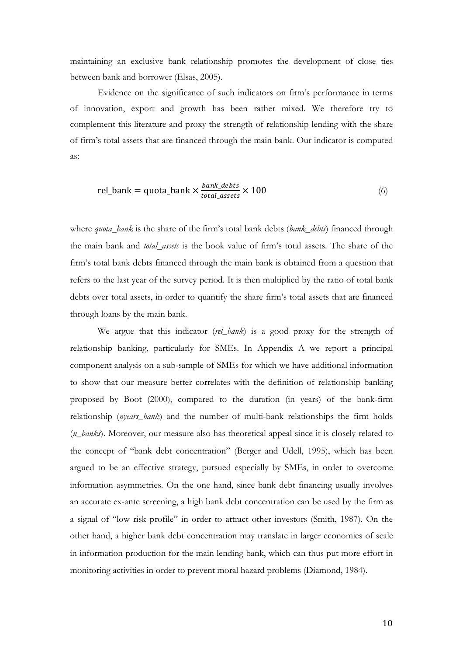maintaining an exclusive bank relationship promotes the development of close ties between bank and borrower (Elsas, 2005).

Evidence on the significance of such indicators on firm's performance in terms of innovation, export and growth has been rather mixed. We therefore try to complement this literature and proxy the strength of relationship lending with the share of firm's total assets that are financed through the main bank. Our indicator is computed as:

$$
rel\_bank = quota\_bank \times \frac{bank\_debts}{total\_assets} \times 100
$$
 (6)

where quota\_bank is the share of the firm's total bank debts (bank\_debts) financed through the main bank and total\_assets is the book value of firm's total assets. The share of the firm's total bank debts financed through the main bank is obtained from a question that refers to the last year of the survey period. It is then multiplied by the ratio of total bank debts over total assets, in order to quantify the share firm's total assets that are financed through loans by the main bank.

We argue that this indicator (rel\_bank) is a good proxy for the strength of relationship banking, particularly for SMEs. In Appendix A we report a principal component analysis on a sub-sample of SMEs for which we have additional information to show that our measure better correlates with the definition of relationship banking proposed by Boot (2000), compared to the duration (in years) of the bank-firm relationship (*nyears\_bank*) and the number of multi-bank relationships the firm holds (n\_banks). Moreover, our measure also has theoretical appeal since it is closely related to the concept of "bank debt concentration" (Berger and Udell, 1995), which has been argued to be an effective strategy, pursued especially by SMEs, in order to overcome information asymmetries. On the one hand, since bank debt financing usually involves an accurate ex-ante screening, a high bank debt concentration can be used by the firm as a signal of "low risk profile" in order to attract other investors (Smith, 1987). On the other hand, a higher bank debt concentration may translate in larger economies of scale in information production for the main lending bank, which can thus put more effort in monitoring activities in order to prevent moral hazard problems (Diamond, 1984).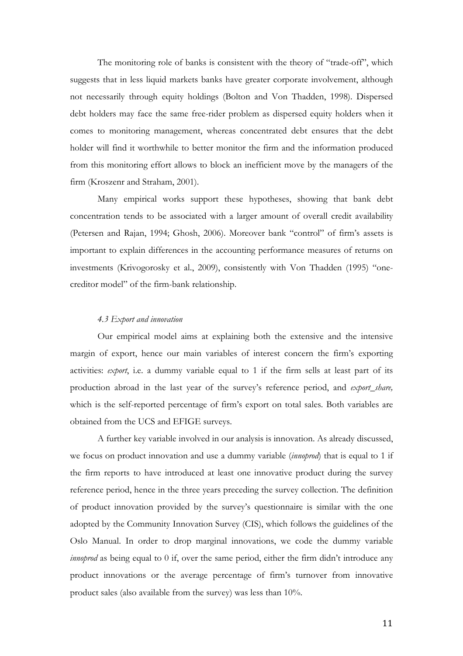The monitoring role of banks is consistent with the theory of "trade-off", which suggests that in less liquid markets banks have greater corporate involvement, although not necessarily through equity holdings (Bolton and Von Thadden, 1998). Dispersed debt holders may face the same free-rider problem as dispersed equity holders when it comes to monitoring management, whereas concentrated debt ensures that the debt holder will find it worthwhile to better monitor the firm and the information produced from this monitoring effort allows to block an inefficient move by the managers of the firm (Kroszenr and Straham, 2001).

Many empirical works support these hypotheses, showing that bank debt concentration tends to be associated with a larger amount of overall credit availability (Petersen and Rajan, 1994; Ghosh, 2006). Moreover bank "control" of firm's assets is important to explain differences in the accounting performance measures of returns on investments (Krivogorosky et al., 2009), consistently with Von Thadden (1995) "onecreditor model" of the firm-bank relationship.

#### 4.3 Export and innovation

Our empirical model aims at explaining both the extensive and the intensive margin of export, hence our main variables of interest concern the firm's exporting activities: export, i.e. a dummy variable equal to 1 if the firm sells at least part of its production abroad in the last year of the survey's reference period, and export\_share, which is the self-reported percentage of firm's export on total sales. Both variables are obtained from the UCS and EFIGE surveys.

A further key variable involved in our analysis is innovation. As already discussed, we focus on product innovation and use a dummy variable *(innoprod)* that is equal to 1 if the firm reports to have introduced at least one innovative product during the survey reference period, hence in the three years preceding the survey collection. The definition of product innovation provided by the survey's questionnaire is similar with the one adopted by the Community Innovation Survey (CIS), which follows the guidelines of the Oslo Manual. In order to drop marginal innovations, we code the dummy variable innoprod as being equal to 0 if, over the same period, either the firm didn't introduce any product innovations or the average percentage of firm's turnover from innovative product sales (also available from the survey) was less than 10%.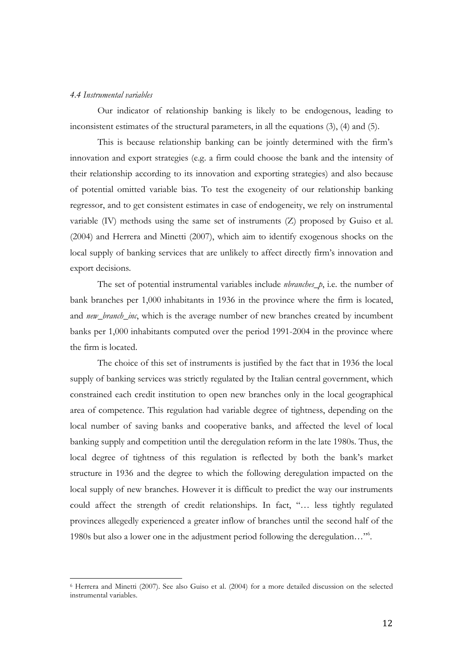#### 4.4 Instrumental variables

 $\overline{a}$ 

Our indicator of relationship banking is likely to be endogenous, leading to inconsistent estimates of the structural parameters, in all the equations (3), (4) and (5).

This is because relationship banking can be jointly determined with the firm's innovation and export strategies (e.g. a firm could choose the bank and the intensity of their relationship according to its innovation and exporting strategies) and also because of potential omitted variable bias. To test the exogeneity of our relationship banking regressor, and to get consistent estimates in case of endogeneity, we rely on instrumental variable (IV) methods using the same set of instruments (Z) proposed by Guiso et al. (2004) and Herrera and Minetti (2007), which aim to identify exogenous shocks on the local supply of banking services that are unlikely to affect directly firm's innovation and export decisions.

The set of potential instrumental variables include  $\n *nbranches_p*$ , i.e. the number of bank branches per 1,000 inhabitants in 1936 in the province where the firm is located, and *new\_branch\_inc*, which is the average number of new branches created by incumbent banks per 1,000 inhabitants computed over the period 1991-2004 in the province where the firm is located.

The choice of this set of instruments is justified by the fact that in 1936 the local supply of banking services was strictly regulated by the Italian central government, which constrained each credit institution to open new branches only in the local geographical area of competence. This regulation had variable degree of tightness, depending on the local number of saving banks and cooperative banks, and affected the level of local banking supply and competition until the deregulation reform in the late 1980s. Thus, the local degree of tightness of this regulation is reflected by both the bank's market structure in 1936 and the degree to which the following deregulation impacted on the local supply of new branches. However it is difficult to predict the way our instruments could affect the strength of credit relationships. In fact, "… less tightly regulated provinces allegedly experienced a greater inflow of branches until the second half of the 1980s but also a lower one in the adjustment period following the deregulation…"<sup>6</sup> .

<sup>6</sup> Herrera and Minetti (2007). See also Guiso et al. (2004) for a more detailed discussion on the selected instrumental variables.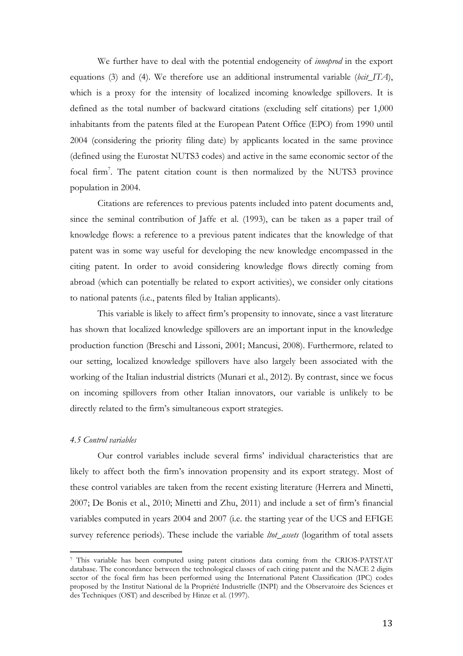We further have to deal with the potential endogeneity of *innoprod* in the export equations (3) and (4). We therefore use an additional instrumental variable (bcit\_ITA), which is a proxy for the intensity of localized incoming knowledge spillovers. It is defined as the total number of backward citations (excluding self citations) per 1,000 inhabitants from the patents filed at the European Patent Office (EPO) from 1990 until 2004 (considering the priority filing date) by applicants located in the same province (defined using the Eurostat NUTS3 codes) and active in the same economic sector of the focal firm<sup>7</sup>. The patent citation count is then normalized by the NUTS3 province population in 2004.

Citations are references to previous patents included into patent documents and, since the seminal contribution of Jaffe et al. (1993), can be taken as a paper trail of knowledge flows: a reference to a previous patent indicates that the knowledge of that patent was in some way useful for developing the new knowledge encompassed in the citing patent. In order to avoid considering knowledge flows directly coming from abroad (which can potentially be related to export activities), we consider only citations to national patents (i.e., patents filed by Italian applicants).

This variable is likely to affect firm's propensity to innovate, since a vast literature has shown that localized knowledge spillovers are an important input in the knowledge production function (Breschi and Lissoni, 2001; Mancusi, 2008). Furthermore, related to our setting, localized knowledge spillovers have also largely been associated with the working of the Italian industrial districts (Munari et al., 2012). By contrast, since we focus on incoming spillovers from other Italian innovators, our variable is unlikely to be directly related to the firm's simultaneous export strategies.

#### 4.5 Control variables

 $\overline{a}$ 

Our control variables include several firms' individual characteristics that are likely to affect both the firm's innovation propensity and its export strategy. Most of these control variables are taken from the recent existing literature (Herrera and Minetti, 2007; De Bonis et al., 2010; Minetti and Zhu, 2011) and include a set of firm's financial variables computed in years 2004 and 2007 (i.e. the starting year of the UCS and EFIGE survey reference periods). These include the variable *ltot\_assets* (logarithm of total assets

<sup>7</sup> This variable has been computed using patent citations data coming from the CRIOS-PATSTAT database. The concordance between the technological classes of each citing patent and the NACE 2 digits sector of the focal firm has been performed using the International Patent Classification (IPC) codes proposed by the Institut National de la Propriété Industrielle (INPI) and the Observatoire des Sciences et des Techniques (OST) and described by Hinze et al. (1997).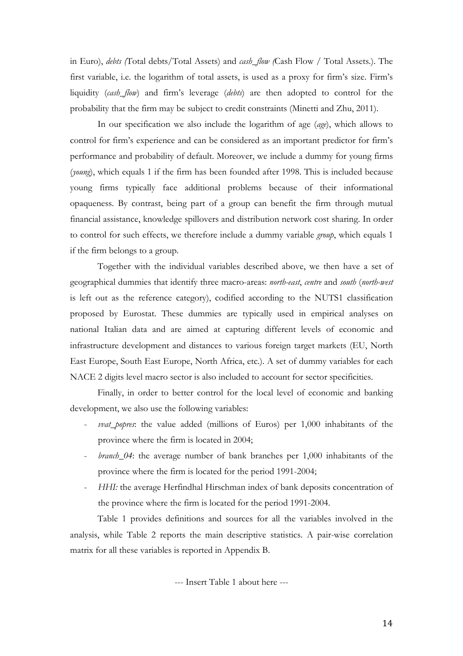in Euro), debts (Total debts/Total Assets) and cash\_flow (Cash Flow / Total Assets.). The first variable, i.e. the logarithm of total assets, is used as a proxy for firm's size. Firm's liquidity (cash\_flow) and firm's leverage (debts) are then adopted to control for the probability that the firm may be subject to credit constraints (Minetti and Zhu, 2011).

In our specification we also include the logarithm of age (age), which allows to control for firm's experience and can be considered as an important predictor for firm's performance and probability of default. Moreover, we include a dummy for young firms (young), which equals 1 if the firm has been founded after 1998. This is included because young firms typically face additional problems because of their informational opaqueness. By contrast, being part of a group can benefit the firm through mutual financial assistance, knowledge spillovers and distribution network cost sharing. In order to control for such effects, we therefore include a dummy variable *group*, which equals 1 if the firm belongs to a group.

Together with the individual variables described above, we then have a set of geographical dummies that identify three macro-areas: north-east, centre and south (north-west is left out as the reference category), codified according to the NUTS1 classification proposed by Eurostat. These dummies are typically used in empirical analyses on national Italian data and are aimed at capturing different levels of economic and infrastructure development and distances to various foreign target markets (EU, North East Europe, South East Europe, North Africa, etc.). A set of dummy variables for each NACE 2 digits level macro sector is also included to account for sector specificities.

Finally, in order to better control for the local level of economic and banking development, we also use the following variables:

- $vvat_p$  popres: the value added (millions of Euros) per  $1,000$  inhabitants of the province where the firm is located in 2004;
- branch\_04: the average number of bank branches per 1,000 inhabitants of the province where the firm is located for the period 1991-2004;
- HHI: the average Herfindhal Hirschman index of bank deposits concentration of the province where the firm is located for the period 1991-2004.

Table 1 provides definitions and sources for all the variables involved in the analysis, while Table 2 reports the main descriptive statistics. A pair-wise correlation matrix for all these variables is reported in Appendix B.

--- Insert Table 1 about here ---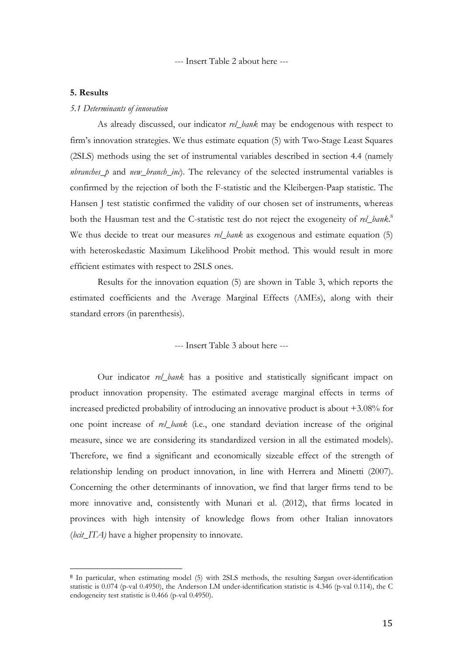--- Insert Table 2 about here ---

#### 5. Results

 $\overline{a}$ 

#### 5.1 Determinants of innovation

As already discussed, our indicator rel\_bank may be endogenous with respect to firm's innovation strategies. We thus estimate equation (5) with Two-Stage Least Squares (2SLS) methods using the set of instrumental variables described in section 4.4 (namely *nbranches\_p* and *new\_branch\_inc*). The relevancy of the selected instrumental variables is confirmed by the rejection of both the F-statistic and the Kleibergen-Paap statistic. The Hansen J test statistic confirmed the validity of our chosen set of instruments, whereas both the Hausman test and the C-statistic test do not reject the exogeneity of rel\_bank.<sup>8</sup> We thus decide to treat our measures *rel\_bank* as exogenous and estimate equation (5) with heteroskedastic Maximum Likelihood Probit method. This would result in more efficient estimates with respect to 2SLS ones.

Results for the innovation equation (5) are shown in Table 3, which reports the estimated coefficients and the Average Marginal Effects (AMEs), along with their standard errors (in parenthesis).

#### --- Insert Table 3 about here ---

Our indicator rel\_bank has a positive and statistically significant impact on product innovation propensity. The estimated average marginal effects in terms of increased predicted probability of introducing an innovative product is about +3.08% for one point increase of rel\_bank (i.e., one standard deviation increase of the original measure, since we are considering its standardized version in all the estimated models). Therefore, we find a significant and economically sizeable effect of the strength of relationship lending on product innovation, in line with Herrera and Minetti (2007). Concerning the other determinants of innovation, we find that larger firms tend to be more innovative and, consistently with Munari et al. (2012), that firms located in provinces with high intensity of knowledge flows from other Italian innovators (bcit\_ITA) have a higher propensity to innovate.

<sup>8</sup> In particular, when estimating model (5) with 2SLS methods, the resulting Sargan over-identification statistic is 0.074 (p-val 0.4950), the Anderson LM under-identification statistic is 4.346 (p-val 0.114), the C endogeneity test statistic is 0.466 (p-val 0.4950).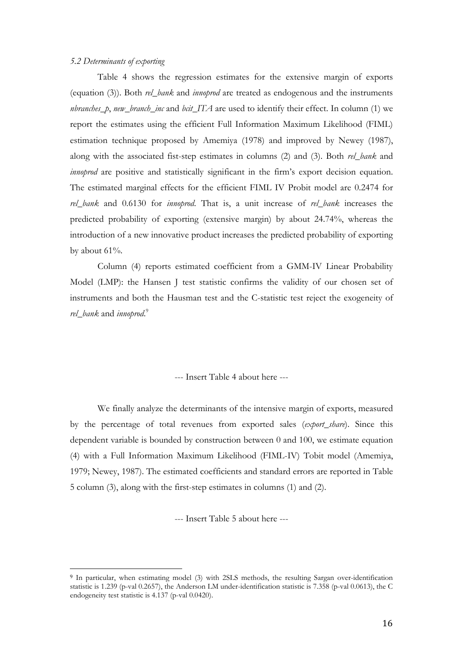#### 5.2 Determinants of exporting

 $\overline{a}$ 

Table 4 shows the regression estimates for the extensive margin of exports (equation (3)). Both rel\_bank and innoprod are treated as endogenous and the instruments nbranches\_p, new\_branch\_inc and bcit\_ITA are used to identify their effect. In column (1) we report the estimates using the efficient Full Information Maximum Likelihood (FIML) estimation technique proposed by Amemiya (1978) and improved by Newey (1987), along with the associated fist-step estimates in columns (2) and (3). Both rel\_bank and *innoprod* are positive and statistically significant in the firm's export decision equation. The estimated marginal effects for the efficient FIML IV Probit model are 0.2474 for rel\_bank and 0.6130 for *innoprod*. That is, a unit increase of rel\_bank increases the predicted probability of exporting (extensive margin) by about 24.74%, whereas the introduction of a new innovative product increases the predicted probability of exporting by about 61%.

Column (4) reports estimated coefficient from a GMM-IV Linear Probability Model (LMP): the Hansen J test statistic confirms the validity of our chosen set of instruments and both the Hausman test and the C-statistic test reject the exogeneity of rel\_bank and innoprod.<sup>9</sup>

--- Insert Table 4 about here ---

We finally analyze the determinants of the intensive margin of exports, measured by the percentage of total revenues from exported sales (export\_share). Since this dependent variable is bounded by construction between 0 and 100, we estimate equation (4) with a Full Information Maximum Likelihood (FIML-IV) Tobit model (Amemiya, 1979; Newey, 1987). The estimated coefficients and standard errors are reported in Table 5 column (3), along with the first-step estimates in columns (1) and (2).

--- Insert Table 5 about here ---

<sup>9</sup> In particular, when estimating model (3) with 2SLS methods, the resulting Sargan over-identification statistic is 1.239 (p-val 0.2657), the Anderson LM under-identification statistic is 7.358 (p-val 0.0613), the C endogeneity test statistic is 4.137 (p-val 0.0420).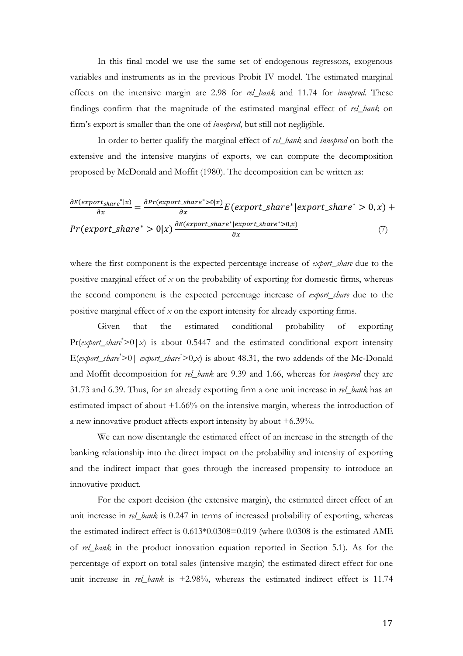In this final model we use the same set of endogenous regressors, exogenous variables and instruments as in the previous Probit IV model. The estimated marginal effects on the intensive margin are 2.98 for rel\_bank and 11.74 for innoprod. These findings confirm that the magnitude of the estimated marginal effect of rel\_bank on firm's export is smaller than the one of *innoprod*, but still not negligible.

In order to better qualify the marginal effect of rel\_bank and innoprod on both the extensive and the intensive margins of exports, we can compute the decomposition proposed by McDonald and Moffit (1980). The decomposition can be written as:

$$
\frac{\partial E(export_{share}^*|x)}{\partial x} = \frac{\partial Pr(export_{share}^* > 0|x)}{\partial x} E(export_{share}^*|expr * |expr * \le 0, x) + Pr(export_{share}^* > 0|x) \frac{\partial E(export_{share}^*|expr * \le 0, x)}{\partial x}
$$
\n(7)

where the first component is the expected percentage increase of *export\_share* due to the positive marginal effect of  $x$  on the probability of exporting for domestic firms, whereas the second component is the expected percentage increase of *export\_share* due to the positive marginal effect of  $x$  on the export intensity for already exporting firms.

Given that the estimated conditional probability of exporting  $Pr(export\_share^* > 0 | x)$  is about 0.5447 and the estimated conditional export intensity E(export\_share\* $>0$ | export\_share\* $>0, x$ ) is about 48.31, the two addends of the Mc-Donald and Moffit decomposition for rel\_bank are 9.39 and 1.66, whereas for *innoprod* they are 31.73 and 6.39. Thus, for an already exporting firm a one unit increase in rel\_bank has an estimated impact of about +1.66% on the intensive margin, whereas the introduction of a new innovative product affects export intensity by about +6.39%.

We can now disentangle the estimated effect of an increase in the strength of the banking relationship into the direct impact on the probability and intensity of exporting and the indirect impact that goes through the increased propensity to introduce an innovative product.

For the export decision (the extensive margin), the estimated direct effect of an unit increase in rel\_bank is 0.247 in terms of increased probability of exporting, whereas the estimated indirect effect is 0.613\*0.0308=0.019 (where 0.0308 is the estimated AME of rel\_bank in the product innovation equation reported in Section 5.1). As for the percentage of export on total sales (intensive margin) the estimated direct effect for one unit increase in rel\_bank is  $+2.98\%$ , whereas the estimated indirect effect is 11.74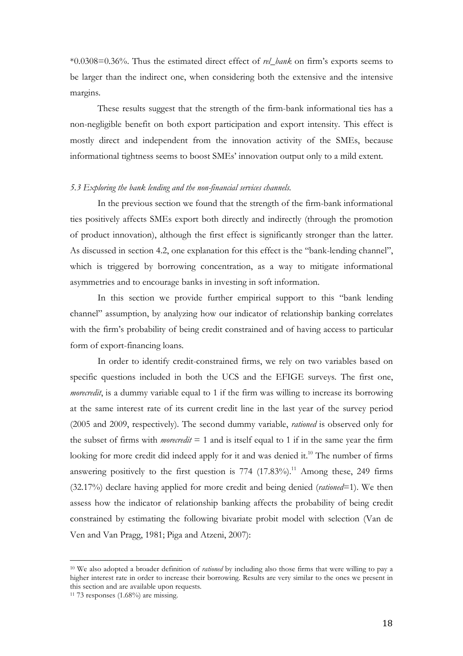$*0.0308=0.36\%$ . Thus the estimated direct effect of *rel\_bank* on firm's exports seems to be larger than the indirect one, when considering both the extensive and the intensive margins.

These results suggest that the strength of the firm-bank informational ties has a non-negligible benefit on both export participation and export intensity. This effect is mostly direct and independent from the innovation activity of the SMEs, because informational tightness seems to boost SMEs' innovation output only to a mild extent.

#### 5.3 Exploring the bank lending and the non-financial services channels.

In the previous section we found that the strength of the firm-bank informational ties positively affects SMEs export both directly and indirectly (through the promotion of product innovation), although the first effect is significantly stronger than the latter. As discussed in section 4.2, one explanation for this effect is the "bank-lending channel", which is triggered by borrowing concentration, as a way to mitigate informational asymmetries and to encourage banks in investing in soft information.

In this section we provide further empirical support to this "bank lending channel" assumption, by analyzing how our indicator of relationship banking correlates with the firm's probability of being credit constrained and of having access to particular form of export-financing loans.

In order to identify credit-constrained firms, we rely on two variables based on specific questions included in both the UCS and the EFIGE surveys. The first one, *morecredit*, is a dummy variable equal to 1 if the firm was willing to increase its borrowing at the same interest rate of its current credit line in the last year of the survey period (2005 and 2009, respectively). The second dummy variable, *rationed* is observed only for the subset of firms with *morecredit*  $= 1$  and is itself equal to 1 if in the same year the firm looking for more credit did indeed apply for it and was denied it.<sup>10</sup> The number of firms answering positively to the first question is  $774$   $(17.83\%)$ .<sup>11</sup> Among these, 249 firms  $(32.17%)$  declare having applied for more credit and being denied *(rationed*=1). We then assess how the indicator of relationship banking affects the probability of being credit constrained by estimating the following bivariate probit model with selection (Van de Ven and Van Pragg, 1981; Piga and Atzeni, 2007):

<sup>&</sup>lt;sup>10</sup> We also adopted a broader definition of *rationed* by including also those firms that were willing to pay a higher interest rate in order to increase their borrowing. Results are very similar to the ones we present in this section and are available upon requests.

 $11$  73 responses  $(1.68\%)$  are missing.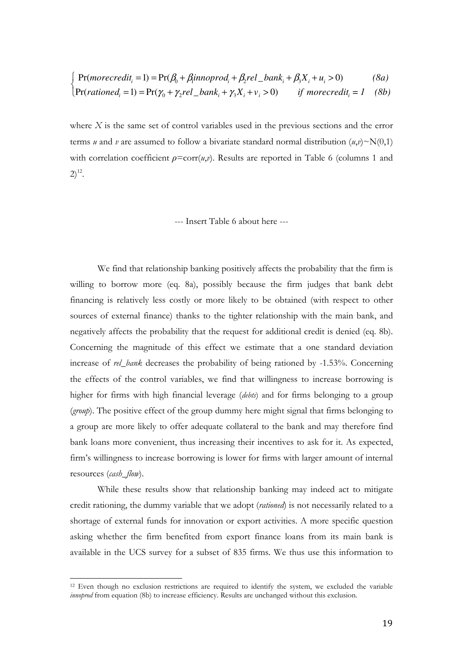$$
\int_{\gamma} \Pr(morrectit_i = 1) = \Pr(\beta_0 + \beta_1 in noprod_i + \beta_2 rel\_bank_i + \beta_3 X_i + u_i > 0)
$$
 (8a)

$$
Pr(rational_i = 1) = Pr(\gamma_0 + \gamma_2 rel\_bank_i + \gamma_3 X_i + v_i > 0) \qquad \text{if morecredit}_i = 1 \quad (8b)
$$

where  $X$  is the same set of control variables used in the previous sections and the error terms *u* and *v* are assumed to follow a bivariate standard normal distribution  $(u,v) \sim N(0,1)$ with correlation coefficient  $\rho = \text{corr}(u,v)$ . Results are reported in Table 6 (columns 1 and  $2)^{12}$ .

--- Insert Table 6 about here ---

We find that relationship banking positively affects the probability that the firm is willing to borrow more (eq. 8a), possibly because the firm judges that bank debt financing is relatively less costly or more likely to be obtained (with respect to other sources of external finance) thanks to the tighter relationship with the main bank, and negatively affects the probability that the request for additional credit is denied (eq. 8b). Concerning the magnitude of this effect we estimate that a one standard deviation increase of rel\_bank decreases the probability of being rationed by -1.53%. Concerning the effects of the control variables, we find that willingness to increase borrowing is higher for firms with high financial leverage (debts) and for firms belonging to a group (group). The positive effect of the group dummy here might signal that firms belonging to a group are more likely to offer adequate collateral to the bank and may therefore find bank loans more convenient, thus increasing their incentives to ask for it. As expected, firm's willingness to increase borrowing is lower for firms with larger amount of internal resources (cash\_flow).

While these results show that relationship banking may indeed act to mitigate credit rationing, the dummy variable that we adopt (rationed) is not necessarily related to a shortage of external funds for innovation or export activities. A more specific question asking whether the firm benefited from export finance loans from its main bank is available in the UCS survey for a subset of 835 firms. We thus use this information to

<sup>&</sup>lt;sup>12</sup> Even though no exclusion restrictions are required to identify the system, we excluded the variable *innoprod* from equation (8b) to increase efficiency. Results are unchanged without this exclusion.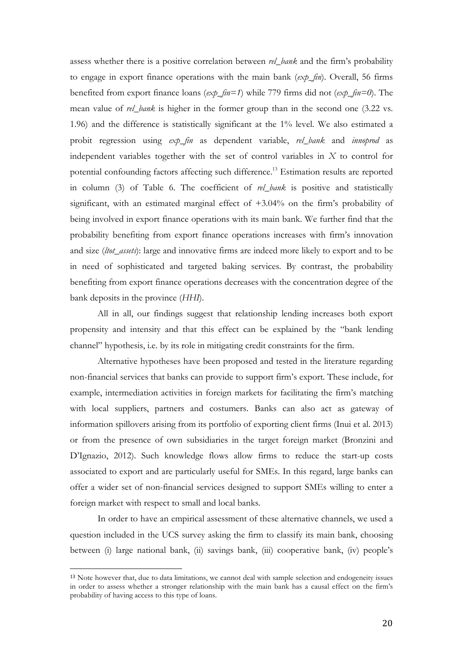assess whether there is a positive correlation between *rel\_bank* and the firm's probability to engage in export finance operations with the main bank  $(exp_f\hat{m})$ . Overall, 56 firms benefited from export finance loans ( $exp_f(n=1)$  while 779 firms did not ( $exp_f(n=0)$ ). The mean value of *rel\_bank* is higher in the former group than in the second one (3.22 vs. 1.96) and the difference is statistically significant at the 1% level. We also estimated a probit regression using  $exp_f$ in as dependent variable, rel\_bank and innoprod as independent variables together with the set of control variables in  $X$  to control for potential confounding factors affecting such difference. <sup>13</sup> Estimation results are reported in column (3) of Table 6. The coefficient of rel\_bank is positive and statistically significant, with an estimated marginal effect of +3.04% on the firm's probability of being involved in export finance operations with its main bank. We further find that the probability benefiting from export finance operations increases with firm's innovation and size (ltot\_assets): large and innovative firms are indeed more likely to export and to be in need of sophisticated and targeted baking services. By contrast, the probability benefiting from export finance operations decreases with the concentration degree of the bank deposits in the province (HHI).

All in all, our findings suggest that relationship lending increases both export propensity and intensity and that this effect can be explained by the "bank lending channel" hypothesis, i.e. by its role in mitigating credit constraints for the firm.

Alternative hypotheses have been proposed and tested in the literature regarding non-financial services that banks can provide to support firm's export. These include, for example, intermediation activities in foreign markets for facilitating the firm's matching with local suppliers, partners and costumers. Banks can also act as gateway of information spillovers arising from its portfolio of exporting client firms (Inui et al. 2013) or from the presence of own subsidiaries in the target foreign market (Bronzini and D'Ignazio, 2012). Such knowledge flows allow firms to reduce the start-up costs associated to export and are particularly useful for SMEs. In this regard, large banks can offer a wider set of non-financial services designed to support SMEs willing to enter a foreign market with respect to small and local banks.

In order to have an empirical assessment of these alternative channels, we used a question included in the UCS survey asking the firm to classify its main bank, choosing between (i) large national bank, (ii) savings bank, (iii) cooperative bank, (iv) people's

<sup>&</sup>lt;sup>13</sup> Note however that, due to data limitations, we cannot deal with sample selection and endogeneity issues in order to assess whether a stronger relationship with the main bank has a causal effect on the firm's probability of having access to this type of loans.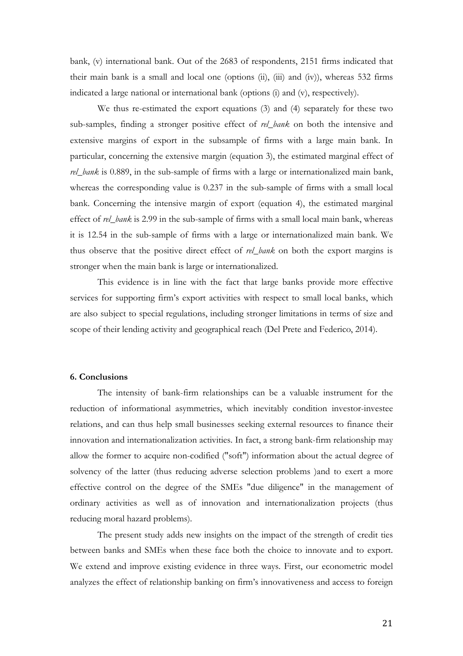bank, (v) international bank. Out of the 2683 of respondents, 2151 firms indicated that their main bank is a small and local one (options (ii), (iii) and (iv)), whereas 532 firms indicated a large national or international bank (options (i) and (v), respectively).

We thus re-estimated the export equations (3) and (4) separately for these two sub-samples, finding a stronger positive effect of rel\_bank on both the intensive and extensive margins of export in the subsample of firms with a large main bank. In particular, concerning the extensive margin (equation 3), the estimated marginal effect of rel\_bank is 0.889, in the sub-sample of firms with a large or internationalized main bank, whereas the corresponding value is 0.237 in the sub-sample of firms with a small local bank. Concerning the intensive margin of export (equation 4), the estimated marginal effect of rel\_bank is 2.99 in the sub-sample of firms with a small local main bank, whereas it is 12.54 in the sub-sample of firms with a large or internationalized main bank. We thus observe that the positive direct effect of rel\_bank on both the export margins is stronger when the main bank is large or internationalized.

This evidence is in line with the fact that large banks provide more effective services for supporting firm's export activities with respect to small local banks, which are also subject to special regulations, including stronger limitations in terms of size and scope of their lending activity and geographical reach (Del Prete and Federico, 2014).

#### 6. Conclusions

The intensity of bank-firm relationships can be a valuable instrument for the reduction of informational asymmetries, which inevitably condition investor-investee relations, and can thus help small businesses seeking external resources to finance their innovation and internationalization activities. In fact, a strong bank-firm relationship may allow the former to acquire non-codified ("soft") information about the actual degree of solvency of the latter (thus reducing adverse selection problems )and to exert a more effective control on the degree of the SMEs "due diligence" in the management of ordinary activities as well as of innovation and internationalization projects (thus reducing moral hazard problems).

The present study adds new insights on the impact of the strength of credit ties between banks and SMEs when these face both the choice to innovate and to export. We extend and improve existing evidence in three ways. First, our econometric model analyzes the effect of relationship banking on firm's innovativeness and access to foreign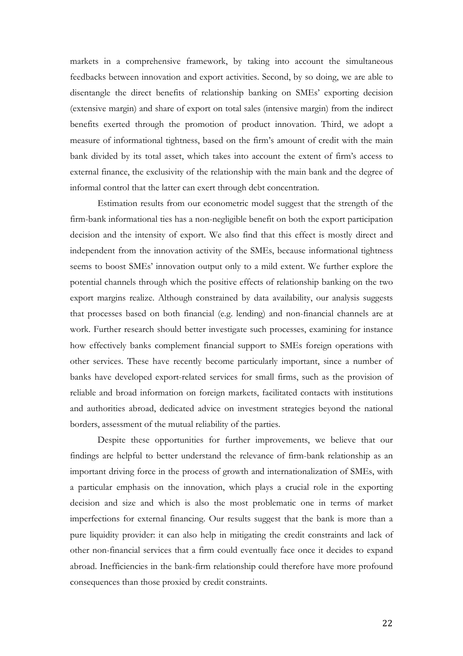markets in a comprehensive framework, by taking into account the simultaneous feedbacks between innovation and export activities. Second, by so doing, we are able to disentangle the direct benefits of relationship banking on SMEs' exporting decision (extensive margin) and share of export on total sales (intensive margin) from the indirect benefits exerted through the promotion of product innovation. Third, we adopt a measure of informational tightness, based on the firm's amount of credit with the main bank divided by its total asset, which takes into account the extent of firm's access to external finance, the exclusivity of the relationship with the main bank and the degree of informal control that the latter can exert through debt concentration.

Estimation results from our econometric model suggest that the strength of the firm-bank informational ties has a non-negligible benefit on both the export participation decision and the intensity of export. We also find that this effect is mostly direct and independent from the innovation activity of the SMEs, because informational tightness seems to boost SMEs' innovation output only to a mild extent. We further explore the potential channels through which the positive effects of relationship banking on the two export margins realize. Although constrained by data availability, our analysis suggests that processes based on both financial (e.g. lending) and non-financial channels are at work. Further research should better investigate such processes, examining for instance how effectively banks complement financial support to SMEs foreign operations with other services. These have recently become particularly important, since a number of banks have developed export-related services for small firms, such as the provision of reliable and broad information on foreign markets, facilitated contacts with institutions and authorities abroad, dedicated advice on investment strategies beyond the national borders, assessment of the mutual reliability of the parties.

Despite these opportunities for further improvements, we believe that our findings are helpful to better understand the relevance of firm-bank relationship as an important driving force in the process of growth and internationalization of SMEs, with a particular emphasis on the innovation, which plays a crucial role in the exporting decision and size and which is also the most problematic one in terms of market imperfections for external financing. Our results suggest that the bank is more than a pure liquidity provider: it can also help in mitigating the credit constraints and lack of other non-financial services that a firm could eventually face once it decides to expand abroad. Inefficiencies in the bank-firm relationship could therefore have more profound consequences than those proxied by credit constraints.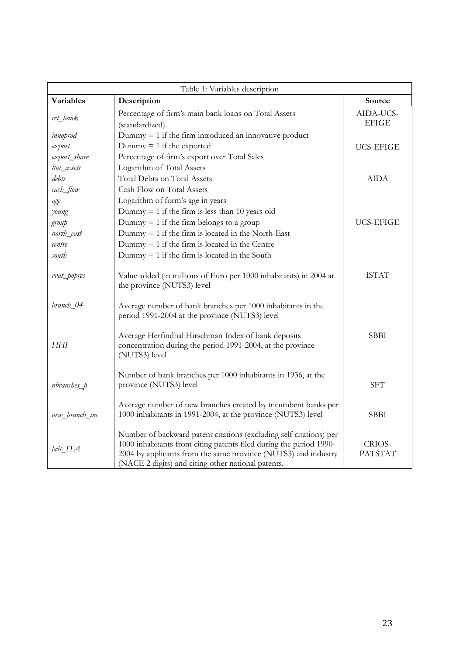| Table 1: Variables description |                                                                                                                                                                                                                                                                  |                           |  |  |  |  |  |
|--------------------------------|------------------------------------------------------------------------------------------------------------------------------------------------------------------------------------------------------------------------------------------------------------------|---------------------------|--|--|--|--|--|
| <b>Variables</b>               | Description                                                                                                                                                                                                                                                      | Source                    |  |  |  |  |  |
| rel_bank                       | Percentage of firm's main bank loans on Total Assets<br>(standardized).                                                                                                                                                                                          | AIDA-UCS-<br><b>EFIGE</b> |  |  |  |  |  |
| innoprod                       | Dummy $= 1$ if the firm introduced an innovative product                                                                                                                                                                                                         |                           |  |  |  |  |  |
| export                         | Dummy $= 1$ if the exported                                                                                                                                                                                                                                      | <b>UCS-EFIGE</b>          |  |  |  |  |  |
| export_share                   | Percentage of firm's export over Total Sales                                                                                                                                                                                                                     |                           |  |  |  |  |  |
| ltot_assets                    | Logarithm of Total Assets                                                                                                                                                                                                                                        |                           |  |  |  |  |  |
| debts                          | <b>Total Debts on Total Assets</b>                                                                                                                                                                                                                               | <b>AIDA</b>               |  |  |  |  |  |
| cash_flow                      | Cash Flow on Total Assets                                                                                                                                                                                                                                        |                           |  |  |  |  |  |
| age                            | Logarithm of form's age in years                                                                                                                                                                                                                                 |                           |  |  |  |  |  |
| young                          | Dummy $= 1$ if the firm is less than 10 years old                                                                                                                                                                                                                |                           |  |  |  |  |  |
| group                          | Dummy $= 1$ if the firm belongs to a group                                                                                                                                                                                                                       | <b>UCS-EFIGE</b>          |  |  |  |  |  |
| north_east                     | Dummy $= 1$ if the firm is located in the North-East                                                                                                                                                                                                             |                           |  |  |  |  |  |
| centre                         | Dummy $= 1$ if the firm is located in the Centre                                                                                                                                                                                                                 |                           |  |  |  |  |  |
| south                          | Dummy $= 1$ if the firm is located in the South                                                                                                                                                                                                                  |                           |  |  |  |  |  |
| vvat_popres                    | Value added (in millions of Euro per 1000 inhabitants) in 2004 at<br>the province (NUTS3) level                                                                                                                                                                  | <b>ISTAT</b>              |  |  |  |  |  |
| branch_04                      | Average number of bank branches per 1000 inhabitants in the<br>period 1991-2004 at the province (NUTS3) level                                                                                                                                                    |                           |  |  |  |  |  |
| HHI                            | Average Herfindhal Hirschman Index of bank deposits<br>concentration during the period 1991-2004, at the province<br>(NUTS3) level                                                                                                                               | <b>SBBI</b>               |  |  |  |  |  |
| $n branches_p$                 | Number of bank branches per 1000 inhabitants in 1936, at the<br>province (NUTS3) level                                                                                                                                                                           | <b>SFT</b>                |  |  |  |  |  |
| new_branch_inc                 | Average number of new branches created by incumbent banks per<br>1000 inhabitants in 1991-2004, at the province (NUTS3) level                                                                                                                                    | <b>SBBI</b>               |  |  |  |  |  |
| bcit_ITA                       | Number of backward patent citations (excluding self citations) per<br>1000 inhabitants from citing patents filed during the period 1990-<br>2004 by applicants from the same province (NUTS3) and industry<br>(NACE 2 digits) and citing other national patents. | CRIOS-<br><b>PATSTAT</b>  |  |  |  |  |  |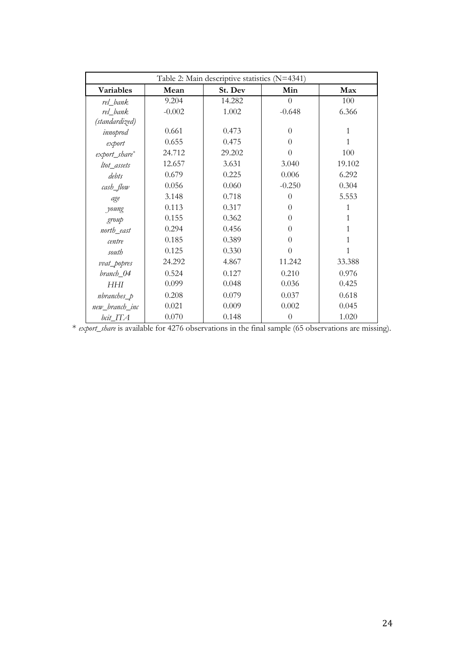| Table 2: Main descriptive statistics (N=4341) |          |         |          |        |  |  |  |  |
|-----------------------------------------------|----------|---------|----------|--------|--|--|--|--|
| Variables                                     | Mean     | St. Dev | Min      | Max    |  |  |  |  |
| rel_bank                                      | 9.204    | 14.282  | $\theta$ | 100    |  |  |  |  |
| rel_bank                                      | $-0.002$ | 1.002   | $-0.648$ | 6.366  |  |  |  |  |
| (standardized)                                |          |         |          |        |  |  |  |  |
| innoprod                                      | 0.661    | 0.473   | $\theta$ | 1      |  |  |  |  |
| export                                        | 0.655    | 0.475   | $\theta$ | 1      |  |  |  |  |
| export_share*                                 | 24.712   | 29.202  | $\theta$ | 100    |  |  |  |  |
| ltot_assets                                   | 12.657   | 3.631   | 3.040    | 19.102 |  |  |  |  |
| debts                                         | 0.679    | 0.225   | 0.006    | 6.292  |  |  |  |  |
| cash_flow                                     | 0.056    | 0.060   | $-0.250$ | 0.304  |  |  |  |  |
| age                                           | 3.148    | 0.718   | $\Omega$ | 5.553  |  |  |  |  |
| young                                         | 0.113    | 0.317   | $\theta$ | 1      |  |  |  |  |
| group                                         | 0.155    | 0.362   | $\Omega$ | 1      |  |  |  |  |
| north_east                                    | 0.294    | 0.456   | $\theta$ | 1      |  |  |  |  |
| centre                                        | 0.185    | 0.389   | $\theta$ | 1      |  |  |  |  |
| south                                         | 0.125    | 0.330   | $\theta$ | 1      |  |  |  |  |
| vvat_popres                                   | 24.292   | 4.867   | 11.242   | 33.388 |  |  |  |  |
| branch_04                                     | 0.524    | 0.127   | 0.210    | 0.976  |  |  |  |  |
| HHI                                           | 0.099    | 0.048   | 0.036    | 0.425  |  |  |  |  |
| $n branches_p$                                | 0.208    | 0.079   | 0.037    | 0.618  |  |  |  |  |
| new_branch_inc                                | 0.021    | 0.009   | 0.002    | 0.045  |  |  |  |  |
| bcit_ITA                                      | 0.070    | 0.148   | $\theta$ | 1.020  |  |  |  |  |

\* export\_share is available for 4276 observations in the final sample (65 observations are missing).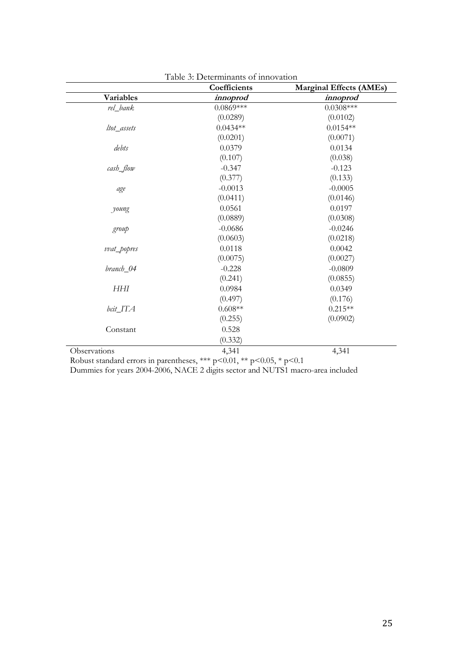|              | Coefficients    | <b>Marginal Effects (AMEs)</b> |
|--------------|-----------------|--------------------------------|
| Variables    | <i>innoprod</i> | <i>innoprod</i>                |
| rel_bank     | $0.0869***$     | $0.0308***$                    |
|              | (0.0289)        | (0.0102)                       |
| ltot_assets  | $0.0434**$      | $0.0154**$                     |
|              | (0.0201)        | (0.0071)                       |
| debts        | 0.0379          | 0.0134                         |
|              | (0.107)         | (0.038)                        |
| cash_flow    | $-0.347$        | $-0.123$                       |
|              | (0.377)         | (0.133)                        |
| age          | $-0.0013$       | $-0.0005$                      |
|              | (0.0411)        | (0.0146)                       |
| young        | 0.0561          | 0.0197                         |
|              | (0.0889)        | (0.0308)                       |
| group        | $-0.0686$       | $-0.0246$                      |
|              | (0.0603)        | (0.0218)                       |
| vvat_popres  | 0.0118          | 0.0042                         |
|              | (0.0075)        | (0.0027)                       |
| branch 04    | $-0.228$        | $-0.0809$                      |
|              | (0.241)         | (0.0855)                       |
| HHI          | 0.0984          | 0.0349                         |
|              | (0.497)         | (0.176)                        |
| bcit_ITA     | $0.608**$       | $0.215**$                      |
|              | (0.255)         | (0.0902)                       |
| Constant     | 0.528           |                                |
|              | (0.332)         |                                |
| Observations | 4,341           | 4,341                          |

| Table 3: Determinants of innovation |  |
|-------------------------------------|--|
|-------------------------------------|--|

Robust standard errors in parentheses, \*\*\* p<0.01, \*\* p<0.05, \* p<0.1

Dummies for years 2004-2006, NACE 2 digits sector and NUTS1 macro-area included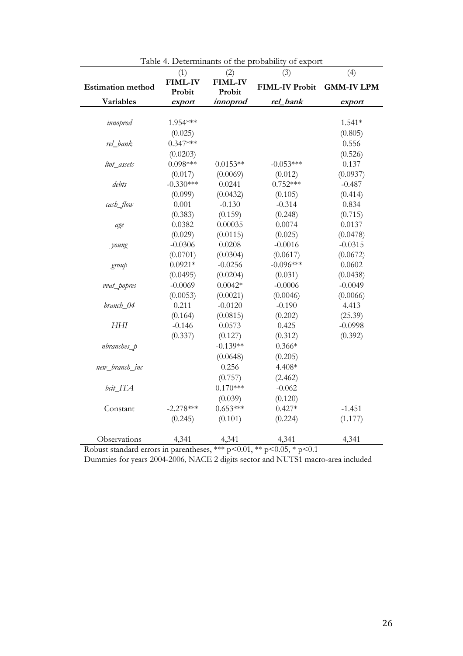|                          | (1)                      | (2)                      | (3)                   | (4)               |
|--------------------------|--------------------------|--------------------------|-----------------------|-------------------|
| <b>Estimation method</b> | <b>FIML-IV</b><br>Probit | <b>FIML-IV</b><br>Probit | <b>FIML-IV Probit</b> | <b>GMM-IV LPM</b> |
| Variables                | export                   | <i>innoprod</i>          | rel_bank              | export            |
|                          |                          |                          |                       |                   |
| innoprod                 | 1.954 ***                |                          |                       | $1.541*$          |
|                          | (0.025)                  |                          |                       | (0.805)           |
| rel_bank                 | $0.347***$               |                          |                       | 0.556             |
|                          | (0.0203)                 |                          |                       | (0.526)           |
| ltot_assets              | $0.098***$               | $0.0153**$               | $-0.053***$           | 0.137             |
|                          | (0.017)                  | (0.0069)                 | (0.012)               | (0.0937)          |
| debts                    | $-0.330***$              | 0.0241                   | $0.752***$            | $-0.487$          |
|                          | (0.099)                  | (0.0432)                 | (0.105)               | (0.414)           |
| cash_flow                | 0.001                    | $-0.130$                 | $-0.314$              | 0.834             |
|                          | (0.383)                  | (0.159)                  | (0.248)               | (0.715)           |
| age                      | 0.0382                   | 0.00035                  | 0.0074                | 0.0137            |
|                          | (0.029)                  | (0.0115)                 | (0.025)               | (0.0478)          |
| young                    | $-0.0306$                | 0.0208                   | $-0.0016$             | $-0.0315$         |
|                          | (0.0701)                 | (0.0304)                 | (0.0617)              | (0.0672)          |
| group                    | $0.0921*$                | $-0.0256$                | $-0.096***$           | 0.0602            |
|                          | (0.0495)                 | (0.0204)                 | (0.031)               | (0.0438)          |
| vvat_popres              | $-0.0069$                | $0.0042*$                | $-0.0006$             | $-0.0049$         |
|                          | (0.0053)                 | (0.0021)                 | (0.0046)              | (0.0066)          |
| branch_04                | 0.211                    | $-0.0120$                | $-0.190$              | 4.413             |
|                          | (0.164)                  | (0.0815)                 | (0.202)               | (25.39)           |
| <b>HHI</b>               | $-0.146$                 | 0.0573                   | 0.425                 | $-0.0998$         |
|                          | (0.337)                  | (0.127)                  | (0.312)               | (0.392)           |
| $n$ branches $p$         |                          | $-0.139**$               | $0.366*$              |                   |
|                          |                          | (0.0648)                 | (0.205)               |                   |
| new_branch_inc           |                          | 0.256                    | 4.408*                |                   |
|                          |                          | (0.757)                  | (2.462)               |                   |
| bcit_ITA                 |                          | $0.170***$               | $-0.062$              |                   |
|                          |                          | (0.039)                  | (0.120)               |                   |
| Constant                 | $-2.278***$              | $0.653***$               | $0.427*$              | $-1.451$          |
|                          | (0.245)                  | (0.101)                  | (0.224)               | (1.177)           |
| Observations             | 4,341                    | 4,341                    | 4,341                 | 4,341             |

| Table 4. Determinants of the probability of export |  |
|----------------------------------------------------|--|
|----------------------------------------------------|--|

Robust standard errors in parentheses, \*\*\* p<0.01, \*\* p<0.05, \* p<0.1

Dummies for years 2004-2006, NACE 2 digits sector and NUTS1 macro-area included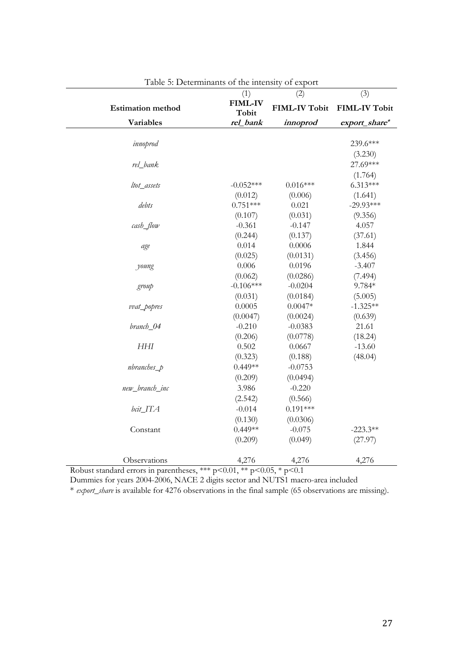|                          | I abic 9. Determinants of the intensity<br>(1) | <b>UL CAPULU</b><br>(2) | (3)                  |
|--------------------------|------------------------------------------------|-------------------------|----------------------|
| <b>Estimation method</b> | <b>FIML-IV</b><br>Tobit                        | <b>FIML-IV Tobit</b>    | <b>FIML-IV Tobit</b> |
| Variables                | rel_bank                                       | innoprod                | export_share*        |
|                          |                                                |                         |                      |
| innoprod                 |                                                |                         | 239.6***             |
|                          |                                                |                         | (3.230)              |
| rel_bank                 |                                                |                         | 27.69***             |
|                          |                                                |                         | (1.764)              |
| ltot_assets              | $-0.052***$                                    | $0.016***$              | $6.313***$           |
|                          | (0.012)                                        | (0.006)                 | (1.641)              |
| debts                    | $0.751***$                                     | 0.021                   | $-29.93***$          |
|                          | (0.107)                                        | (0.031)                 | (9.356)              |
| cash_flow                | $-0.361$                                       | $-0.147$                | 4.057                |
|                          | (0.244)                                        | (0.137)                 | (37.61)              |
| age                      | 0.014                                          | 0.0006                  | 1.844                |
|                          | (0.025)                                        | (0.0131)                | (3.456)              |
| young                    | 0.006                                          | 0.0196                  | $-3.407$             |
|                          | (0.062)                                        | (0.0286)                | (7.494)              |
| group                    | $-0.106***$                                    | $-0.0204$               | 9.784*               |
|                          | (0.031)                                        | (0.0184)                | (5.005)              |
| vvat_popres              | 0.0005                                         | $0.0047*$               | $-1.325**$           |
|                          | (0.0047)                                       | (0.0024)                | (0.639)              |
| branch_04                | $-0.210$                                       | $-0.0383$               | 21.61                |
|                          | (0.206)                                        | (0.0778)                | (18.24)              |
| HHI                      | 0.502                                          | 0.0667                  | $-13.60$             |
|                          | (0.323)                                        | (0.188)                 | (48.04)              |
| nbranches_p              | $0.449**$                                      | $-0.0753$               |                      |
|                          | (0.209)                                        | (0.0494)                |                      |
| new_branch_inc           | 3.986                                          | $-0.220$                |                      |
|                          | (2.542)                                        | (0.566)                 |                      |
| bcit_ITA                 | $-0.014$                                       | $0.191***$              |                      |
|                          | (0.130)                                        | (0.0306)                |                      |
| Constant                 | $0.449**$                                      | $-0.075$                | $-223.3**$           |
|                          | (0.209)                                        | (0.049)                 | (27.97)              |
|                          |                                                |                         |                      |
| Observations             | 4,276                                          | 4,276                   | 4,276                |

|  | Table 5: Determinants of the intensity of export |  |  |
|--|--------------------------------------------------|--|--|
|  |                                                  |  |  |

Robust standard errors in parentheses, \*\*\* p<0.01, \*\* p<0.05, \* p<0.1

Dummies for years 2004-2006, NACE 2 digits sector and NUTS1 macro-area included

\* export\_share is available for 4276 observations in the final sample (65 observations are missing).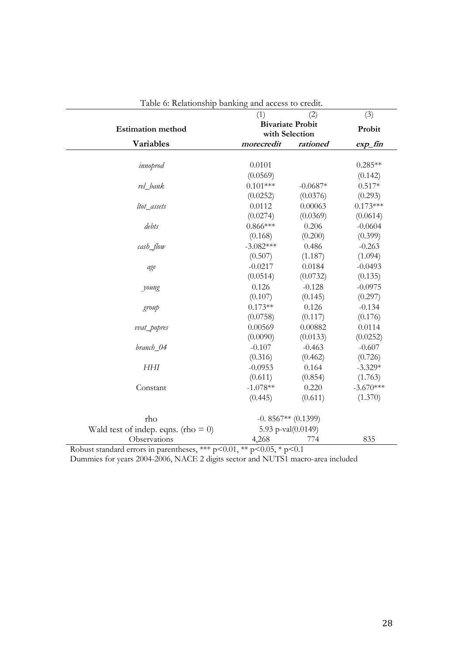| <b>T</b> able 0. Kelauonship banking and access to clean. | (1)                            | (2)                     | (3)         |
|-----------------------------------------------------------|--------------------------------|-------------------------|-------------|
|                                                           |                                | <b>Bivariate Probit</b> |             |
| <b>Estimation method</b>                                  |                                | with Selection          | Probit      |
| Variables                                                 | morecredit                     | rationed                | $exp_f$ fin |
|                                                           |                                |                         |             |
| innoprod                                                  | 0.0101                         |                         | $0.285**$   |
|                                                           | (0.0569)                       |                         | (0.142)     |
| rel_bank                                                  | $0.101***$                     | $-0.0687*$              | $0.517*$    |
|                                                           | (0.0252)                       | (0.0376)                | (0.293)     |
| ltot_assets                                               | 0.0112                         | 0.00063                 | $0.173***$  |
|                                                           | (0.0274)                       | (0.0369)                | (0.0614)    |
| debts                                                     | $0.866***$                     | 0.206                   | $-0.0604$   |
|                                                           | (0.168)                        | (0.200)                 | (0.399)     |
| cash_flow                                                 | $-3.082***$                    | 0.486                   | $-0.263$    |
|                                                           | (0.507)                        | (1.187)                 | (1.094)     |
| age                                                       | $-0.0217$                      | 0.0184                  | $-0.0493$   |
|                                                           | (0.0514)                       | (0.0732)                | (0.135)     |
| young                                                     | 0.126                          | $-0.128$                | $-0.0975$   |
|                                                           | (0.107)                        | (0.145)                 | (0.297)     |
| group                                                     | $0.173**$                      | 0.126                   | $-0.134$    |
|                                                           | (0.0758)                       | (0.117)                 | (0.176)     |
| vvat_popres                                               | 0.00569                        | 0.00882                 | 0.0114      |
|                                                           | (0.0090)                       | (0.0133)                | (0.0252)    |
| branch_04                                                 | $-0.107$                       | $-0.463$                | $-0.607$    |
|                                                           | (0.316)                        | (0.462)                 | (0.726)     |
| <b>HHI</b>                                                | $-0.0953$                      | 0.164                   | $-3.329*$   |
|                                                           | (0.611)                        | (0.854)                 | (1.763)     |
| Constant                                                  | $-1.078**$                     | 0.220                   | $-3.670***$ |
|                                                           | (0.445)                        | (0.611)                 | (1.370)     |
| rho                                                       |                                | $-0.8567**$ (0.1399)    |             |
| Wald test of indep. eqns. (rho = $0$ )                    |                                | 5.93 p-val(0.0149)      |             |
| Observations                                              | 4,268                          | 774                     | 835         |
| Robust standard errors in parentheses $***$ $\infty$ 0.01 | $*$ $\sim$ 0.05 $*$ $\sim$ 0.1 |                         |             |

Table 6: Relationship banking and access to credit.

Robust standard errors in parentheses, \*\*\* p<0.01, \*\* p<0.05, \* p<0.1

Dummies for years 2004-2006, NACE 2 digits sector and NUTS1 macro-area included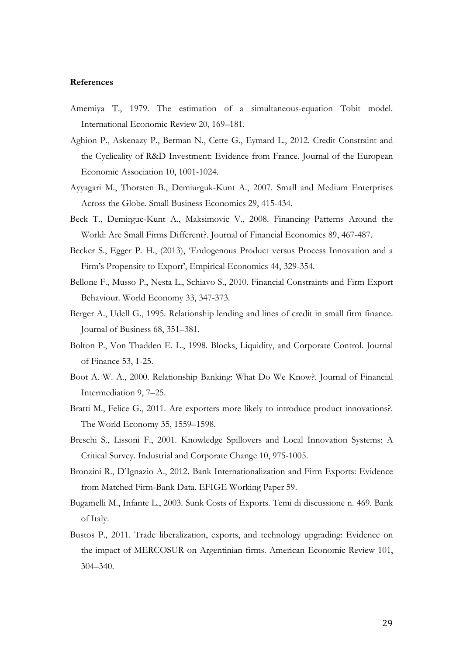#### References

- Amemiya T., 1979. The estimation of a simultaneous-equation Tobit model. International Economic Review 20, 169–181.
- Aghion P., Askenazy P., Berman N., Cette G., Eymard L., 2012. Credit Constraint and the Cyclicality of R&D Investment: Evidence from France. Journal of the European Economic Association 10, 1001-1024.
- Ayyagari M., Thorsten B., Demiurguk-Kunt A., 2007. Small and Medium Enterprises Across the Globe. Small Business Economics 29, 415-434.
- Beck T., Demirguc-Kunt A., Maksimovic V., 2008. Financing Patterns Around the World: Are Small Firms Different?. Journal of Financial Economics 89, 467-487.
- Becker S., Egger P. H., (2013), 'Endogenous Product versus Process Innovation and a Firm's Propensity to Export', Empirical Economics 44, 329-354.
- Bellone F., Musso P., Nesta L., Schiavo S., 2010. Financial Constraints and Firm Export Behaviour. World Economy 33, 347-373.
- Berger A., Udell G., 1995. Relationship lending and lines of credit in small firm finance. Journal of Business 68, 351–381.
- Bolton P., Von Thadden E. L., 1998. Blocks, Liquidity, and Corporate Control. Journal of Finance 53, 1-25.
- Boot A. W. A., 2000. Relationship Banking: What Do We Know?. Journal of Financial Intermediation 9, 7–25.
- Bratti M., Felice G., 2011. Are exporters more likely to introduce product innovations?. The World Economy 35, 1559–1598.
- Breschi S., Lissoni F., 2001. Knowledge Spillovers and Local Innovation Systems: A Critical Survey. Industrial and Corporate Change 10, 975-1005.
- Bronzini R., D'Ignazio A., 2012. Bank Internationalization and Firm Exports: Evidence from Matched Firm-Bank Data. EFIGE Working Paper 59.
- Bugamelli M., Infante L., 2003. Sunk Costs of Exports. Temi di discussione n. 469. Bank of Italy.
- Bustos P., 2011. Trade liberalization, exports, and technology upgrading: Evidence on the impact of MERCOSUR on Argentinian firms. American Economic Review 101, 304–340.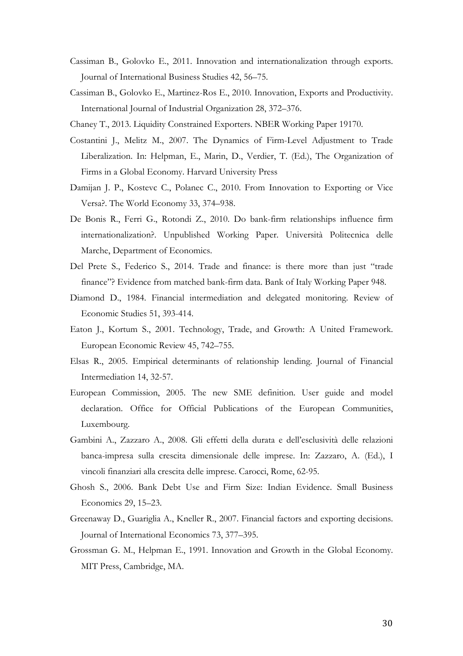- Cassiman B., Golovko E., 2011. Innovation and internationalization through exports. Journal of International Business Studies 42, 56–75.
- Cassiman B., Golovko E., Martinez-Ros E., 2010. Innovation, Exports and Productivity. International Journal of Industrial Organization 28, 372–376.
- Chaney T., 2013. Liquidity Constrained Exporters. NBER Working Paper 19170.
- Costantini J., Melitz M., 2007. The Dynamics of Firm-Level Adjustment to Trade Liberalization. In: Helpman, E., Marin, D., Verdier, T. (Ed.), The Organization of Firms in a Global Economy. Harvard University Press
- Damijan J. P., Kostevc C., Polanec C., 2010. From Innovation to Exporting or Vice Versa?. The World Economy 33, 374–938.
- De Bonis R., Ferri G., Rotondi Z., 2010. Do bank-firm relationships influence firm internationalization?. Unpublished Working Paper. Università Politecnica delle Marche, Department of Economics.
- Del Prete S., Federico S., 2014. Trade and finance: is there more than just "trade finance"? Evidence from matched bank-firm data. Bank of Italy Working Paper 948.
- Diamond D., 1984. Financial intermediation and delegated monitoring. Review of Economic Studies 51, 393-414.
- Eaton J., Kortum S., 2001. Technology, Trade, and Growth: A United Framework. European Economic Review 45, 742–755.
- Elsas R., 2005. Empirical determinants of relationship lending. Journal of Financial Intermediation 14, 32-57.
- European Commission, 2005. The new SME definition. User guide and model declaration. Office for Official Publications of the European Communities, Luxembourg.
- Gambini A., Zazzaro A., 2008. Gli effetti della durata e dell'esclusività delle relazioni banca-impresa sulla crescita dimensionale delle imprese. In: Zazzaro, A. (Ed.), I vincoli finanziari alla crescita delle imprese. Carocci, Rome, 62-95.
- Ghosh S., 2006. Bank Debt Use and Firm Size: Indian Evidence. Small Business Economics 29, 15–23.
- Greenaway D., Guariglia A., Kneller R., 2007. Financial factors and exporting decisions. Journal of International Economics 73, 377–395.
- Grossman G. M., Helpman E., 1991. Innovation and Growth in the Global Economy. MIT Press, Cambridge, MA.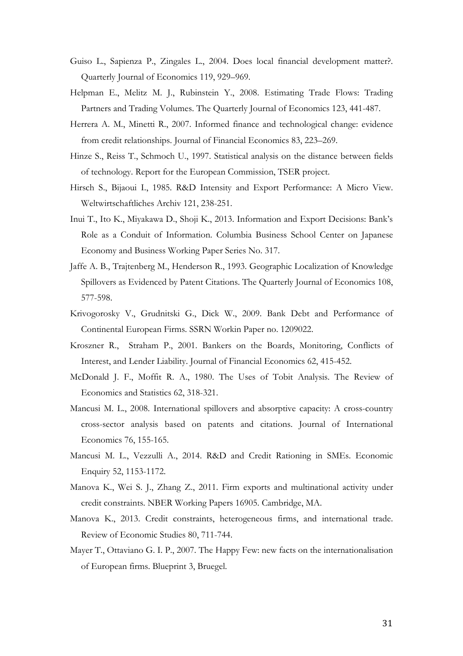- Guiso L., Sapienza P., Zingales L., 2004. Does local financial development matter?. Quarterly Journal of Economics 119, 929–969.
- Helpman E., Melitz M. J., Rubinstein Y., 2008. Estimating Trade Flows: Trading Partners and Trading Volumes. The Quarterly Journal of Economics 123, 441-487.
- Herrera A. M., Minetti R., 2007. Informed finance and technological change: evidence from credit relationships. Journal of Financial Economics 83, 223–269.
- Hinze S., Reiss T., Schmoch U., 1997. Statistical analysis on the distance between fields of technology. Report for the European Commission, TSER project.
- Hirsch S., Bijaoui I., 1985. R&D Intensity and Export Performance: A Micro View. Weltwirtschaftliches Archiv 121, 238-251.
- Inui T., Ito K., Miyakawa D., Shoji K., 2013. Information and Export Decisions: Bank's Role as a Conduit of Information. Columbia Business School Center on Japanese Economy and Business Working Paper Series No. 317.
- Jaffe A. B., Trajtenberg M., Henderson R., 1993. Geographic Localization of Knowledge Spillovers as Evidenced by Patent Citations. The Quarterly Journal of Economics 108, 577-598.
- Krivogorosky V., Grudnitski G., Dick W., 2009. Bank Debt and Performance of Continental European Firms. SSRN Workin Paper no. 1209022.
- Kroszner R., Straham P., 2001. Bankers on the Boards, Monitoring, Conflicts of Interest, and Lender Liability. Journal of Financial Economics 62, 415-452.
- McDonald J. F., Moffit R. A., 1980. The Uses of Tobit Analysis. The Review of Economics and Statistics 62, 318-321.
- Mancusi M. L., 2008. International spillovers and absorptive capacity: A cross-country cross-sector analysis based on patents and citations. Journal of International Economics 76, 155-165.
- Mancusi M. L., Vezzulli A., 2014. R&D and Credit Rationing in SMEs. Economic Enquiry 52, 1153-1172.
- Manova K., Wei S. J., Zhang Z., 2011. Firm exports and multinational activity under credit constraints. NBER Working Papers 16905. Cambridge, MA.
- Manova K., 2013. Credit constraints, heterogeneous firms, and international trade. Review of Economic Studies 80, 711-744.
- Mayer T., Ottaviano G. I. P., 2007. The Happy Few: new facts on the internationalisation of European firms. Blueprint 3, Bruegel.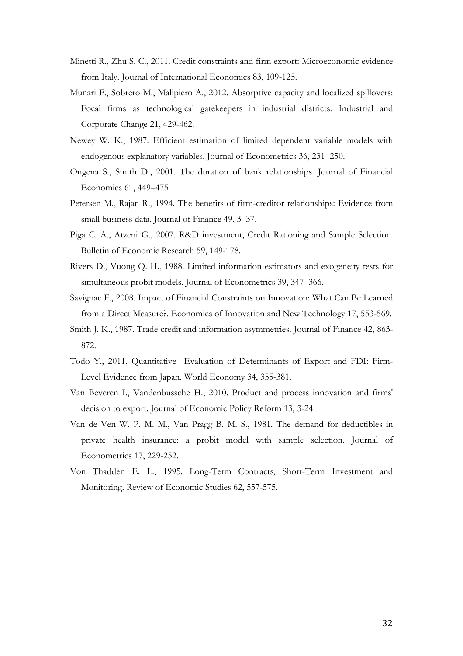- Minetti R., Zhu S. C., 2011. Credit constraints and firm export: Microeconomic evidence from Italy. Journal of International Economics 83, 109-125.
- Munari F., Sobrero M., Malipiero A., 2012. Absorptive capacity and localized spillovers: Focal firms as technological gatekeepers in industrial districts. Industrial and Corporate Change 21, 429-462.
- Newey W. K., 1987. Efficient estimation of limited dependent variable models with endogenous explanatory variables. Journal of Econometrics 36, 231–250.
- Ongena S., Smith D., 2001. The duration of bank relationships. Journal of Financial Economics 61, 449–475
- Petersen M., Rajan R., 1994. The benefits of firm-creditor relationships: Evidence from small business data. Journal of Finance 49, 3–37.
- Piga C. A., Atzeni G., 2007. R&D investment, Credit Rationing and Sample Selection. Bulletin of Economic Research 59, 149-178.
- Rivers D., Vuong Q. H., 1988. Limited information estimators and exogeneity tests for simultaneous probit models. Journal of Econometrics 39, 347–366.
- Savignac F., 2008. Impact of Financial Constraints on Innovation: What Can Be Learned from a Direct Measure?. Economics of Innovation and New Technology 17, 553-569.
- Smith J. K., 1987. Trade credit and information asymmetries. Journal of Finance 42, 863- 872.
- Todo Y., 2011. Quantitative Evaluation of Determinants of Export and FDI: Firm-Level Evidence from Japan. World Economy 34, 355-381.
- Van Beveren I., Vandenbussche H., 2010. Product and process innovation and firms' decision to export. Journal of Economic Policy Reform 13, 3-24.
- Van de Ven W. P. M. M., Van Pragg B. M. S., 1981. The demand for deductibles in private health insurance: a probit model with sample selection. Journal of Econometrics 17, 229-252.
- Von Thadden E. L., 1995. Long-Term Contracts, Short-Term Investment and Monitoring. Review of Economic Studies 62, 557-575.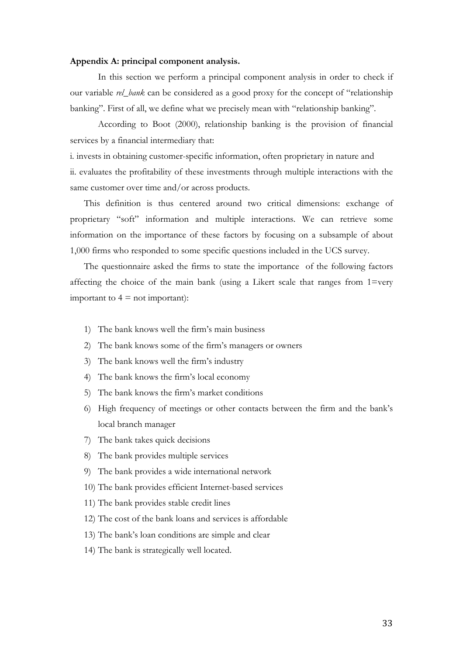#### Appendix A: principal component analysis.

In this section we perform a principal component analysis in order to check if our variable rel\_bank can be considered as a good proxy for the concept of "relationship" banking". First of all, we define what we precisely mean with "relationship banking".

According to Boot (2000), relationship banking is the provision of financial services by a financial intermediary that:

i. invests in obtaining customer-specific information, often proprietary in nature and ii. evaluates the profitability of these investments through multiple interactions with the same customer over time and/or across products.

This definition is thus centered around two critical dimensions: exchange of proprietary "soft" information and multiple interactions. We can retrieve some information on the importance of these factors by focusing on a subsample of about 1,000 firms who responded to some specific questions included in the UCS survey.

The questionnaire asked the firms to state the importance of the following factors affecting the choice of the main bank (using a Likert scale that ranges from 1=very important to  $4 \equiv$  not important):

- 1) The bank knows well the firm's main business
- 2) The bank knows some of the firm's managers or owners
- 3) The bank knows well the firm's industry
- 4) The bank knows the firm's local economy
- 5) The bank knows the firm's market conditions
- 6) High frequency of meetings or other contacts between the firm and the bank's local branch manager
- 7) The bank takes quick decisions
- 8) The bank provides multiple services
- 9) The bank provides a wide international network
- 10) The bank provides efficient Internet-based services
- 11) The bank provides stable credit lines
- 12) The cost of the bank loans and services is affordable
- 13) The bank's loan conditions are simple and clear
- 14) The bank is strategically well located.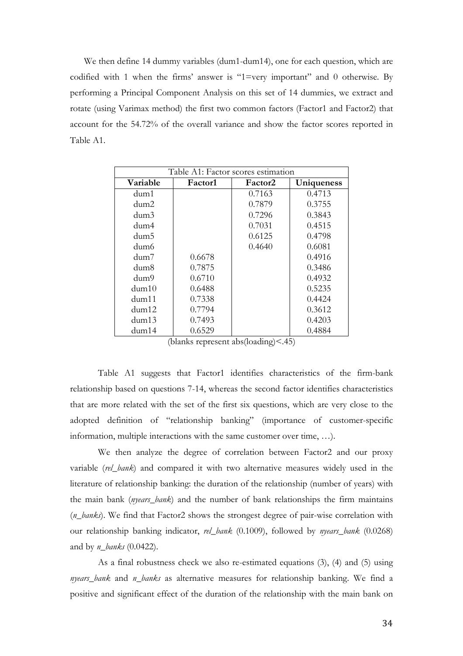We then define 14 dummy variables (dum1-dum14), one for each question, which are codified with 1 when the firms' answer is "1=very important" and 0 otherwise. By performing a Principal Component Analysis on this set of 14 dummies, we extract and rotate (using Varimax method) the first two common factors (Factor1 and Factor2) that account for the 54.72% of the overall variance and show the factor scores reported in Table A1.

| Table A1: Factor scores estimation |         |         |            |  |  |  |  |  |  |
|------------------------------------|---------|---------|------------|--|--|--|--|--|--|
| Variable                           | Factor1 | Factor2 | Uniqueness |  |  |  |  |  |  |
| dum1                               |         | 0.7163  | 0.4713     |  |  |  |  |  |  |
| dum2                               |         | 0.7879  | 0.3755     |  |  |  |  |  |  |
| dum3                               |         | 0.7296  | 0.3843     |  |  |  |  |  |  |
| dum4                               |         | 0.7031  | 0.4515     |  |  |  |  |  |  |
| dum5                               |         | 0.6125  | 0.4798     |  |  |  |  |  |  |
| dum6                               |         | 0.4640  | 0.6081     |  |  |  |  |  |  |
| dum7                               | 0.6678  |         | 0.4916     |  |  |  |  |  |  |
| dum8                               | 0.7875  |         | 0.3486     |  |  |  |  |  |  |
| dum9                               | 0.6710  |         | 0.4932     |  |  |  |  |  |  |
| $d$ um $10$                        | 0.6488  |         | 0.5235     |  |  |  |  |  |  |
| dum11                              | 0.7338  |         | 0.4424     |  |  |  |  |  |  |
| dum12                              | 0.7794  |         | 0.3612     |  |  |  |  |  |  |
| $d$ um $13$                        | 0.7493  |         | 0.4203     |  |  |  |  |  |  |
| dum14                              | 0.6529  |         | 0.4884     |  |  |  |  |  |  |

(blanks represent abs(loading)<.45)

Table A1 suggests that Factor1 identifies characteristics of the firm-bank relationship based on questions 7-14, whereas the second factor identifies characteristics that are more related with the set of the first six questions, which are very close to the adopted definition of "relationship banking" (importance of customer-specific information, multiple interactions with the same customer over time, …).

We then analyze the degree of correlation between Factor2 and our proxy variable (rel\_bank) and compared it with two alternative measures widely used in the literature of relationship banking: the duration of the relationship (number of years) with the main bank (nyears\_bank) and the number of bank relationships the firm maintains (n\_banks). We find that Factor2 shows the strongest degree of pair-wise correlation with our relationship banking indicator, rel\_bank (0.1009), followed by nyears\_bank (0.0268) and by  $n\_banks$  (0.0422).

As a final robustness check we also re-estimated equations (3), (4) and (5) using nyears\_bank and n\_banks as alternative measures for relationship banking. We find a positive and significant effect of the duration of the relationship with the main bank on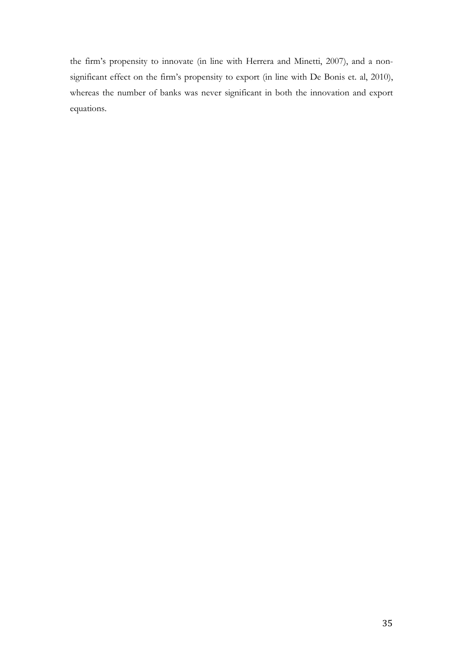the firm's propensity to innovate (in line with Herrera and Minetti, 2007), and a nonsignificant effect on the firm's propensity to export (in line with De Bonis et. al, 2010), whereas the number of banks was never significant in both the innovation and export equations.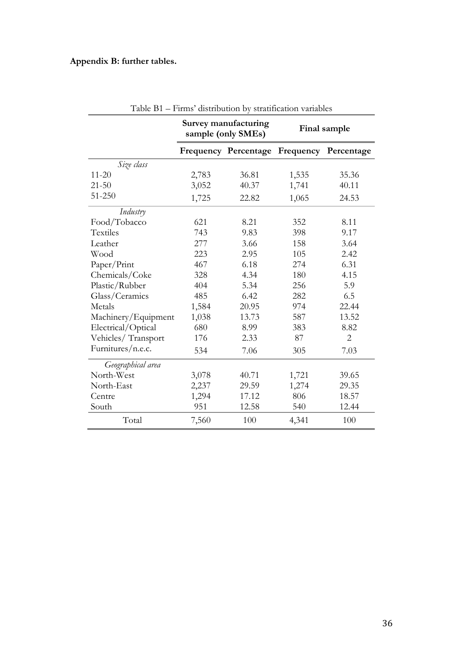### Appendix B: further tables.

|                     |                                           | Survey manufacturing<br>sample (only SMEs) | Final sample |       |  |  |
|---------------------|-------------------------------------------|--------------------------------------------|--------------|-------|--|--|
|                     | Frequency Percentage Frequency Percentage |                                            |              |       |  |  |
| Size class          |                                           |                                            |              |       |  |  |
| $11 - 20$           | 2,783                                     | 36.81                                      | 1,535        | 35.36 |  |  |
| $21 - 50$           | 3,052                                     | 40.37                                      | 1,741        | 40.11 |  |  |
| 51-250              | 1,725                                     | 22.82                                      | 1,065        | 24.53 |  |  |
| Industry            |                                           |                                            |              |       |  |  |
| Food/Tobacco        | 621                                       | 8.21                                       | 352          | 8.11  |  |  |
| <b>Textiles</b>     | 743                                       | 9.83                                       | 398          | 9.17  |  |  |
| Leather             | 277                                       | 3.66                                       | 158          | 3.64  |  |  |
| Wood                | 223                                       | 2.95<br>105                                |              | 2.42  |  |  |
| Paper/Print         | 467                                       | 6.18                                       | 274          | 6.31  |  |  |
| Chemicals/Coke      | 328                                       | 4.34                                       | 180          | 4.15  |  |  |
| Plastic/Rubber      | 404                                       | 5.34                                       | 256          | 5.9   |  |  |
| Glass/Ceramics      | 485                                       | 6.42                                       | 282          | 6.5   |  |  |
| Metals              | 1,584                                     | 20.95                                      | 974          | 22.44 |  |  |
| Machinery/Equipment | 1,038                                     | 13.73                                      | 587          | 13.52 |  |  |
| Electrical/Optical  | 680                                       | 8.99                                       | 383          | 8.82  |  |  |
| Vehicles/Transport  | 176                                       | 2.33                                       | 87           | 2     |  |  |
| Furnitures/n.e.c.   | 534                                       | 7.06                                       | 305          | 7.03  |  |  |
| Geographical area   |                                           |                                            |              |       |  |  |
| North-West          | 3,078                                     | 40.71                                      | 1,721        | 39.65 |  |  |
| North-East          | 2,237                                     | 29.59                                      | 1,274        | 29.35 |  |  |
| Centre              | 1,294                                     | 17.12                                      | 806          | 18.57 |  |  |
| South               | 951                                       | 12.58                                      | 540          | 12.44 |  |  |
| Total               | 7,560                                     | 100                                        | 4,341        | 100   |  |  |

Table B1 – Firms' distribution by stratification variables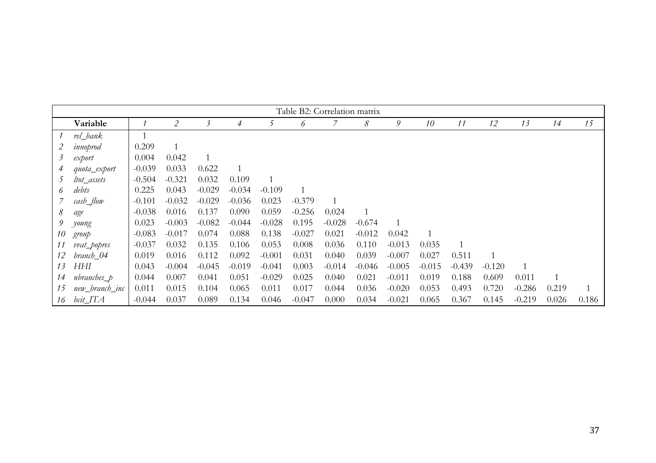|         | Table B2: Correlation matrix |          |          |          |          |          |          |          |          |          |          |          |          |          |              |                |
|---------|------------------------------|----------|----------|----------|----------|----------|----------|----------|----------|----------|----------|----------|----------|----------|--------------|----------------|
|         |                              |          |          |          |          |          |          |          |          |          |          |          |          |          |              |                |
|         | Variable                     |          | 2        | 3        | 4        | 5        | 6        |          | 8        | 9        | 10       | 11       | 12       | 13       | 14           | 15             |
|         | rel_bank                     |          |          |          |          |          |          |          |          |          |          |          |          |          |              |                |
|         | innoprod                     | 0.209    |          |          |          |          |          |          |          |          |          |          |          |          |              |                |
| $\beta$ | export                       | 0.004    | 0.042    |          |          |          |          |          |          |          |          |          |          |          |              |                |
| 4       | quota_export                 | $-0.039$ | 0.033    | 0.622    |          |          |          |          |          |          |          |          |          |          |              |                |
| 5       | ltot_assets                  | $-0.504$ | $-0.321$ | 0.032    | 0.109    |          |          |          |          |          |          |          |          |          |              |                |
| 6       | debts                        | 0.225    | 0.043    | $-0.029$ | $-0.034$ | $-0.109$ |          |          |          |          |          |          |          |          |              |                |
|         | cash_flow                    | $-0.101$ | $-0.032$ | $-0.029$ | $-0.036$ | 0.023    | $-0.379$ | 1        |          |          |          |          |          |          |              |                |
| 8       | age                          | $-0.038$ | 0.016    | 0.137    | 0.090    | 0.059    | $-0.256$ | 0.024    |          |          |          |          |          |          |              |                |
| 9       | young                        | 0.023    | $-0.003$ | $-0.082$ | $-0.044$ | $-0.028$ | 0.195    | $-0.028$ | $-0.674$ |          |          |          |          |          |              |                |
| 10      | group                        | $-0.083$ | $-0.017$ | 0.074    | 0.088    | 0.138    | $-0.027$ | 0.021    | $-0.012$ | 0.042    |          |          |          |          |              |                |
| 11      | vvat_popres                  | $-0.037$ | 0.032    | 0.135    | 0.106    | 0.053    | 0.008    | 0.036    | 0.110    | $-0.013$ | 0.035    |          |          |          |              |                |
| 12      | branch_04                    | 0.019    | 0.016    | 0.112    | 0.092    | $-0.001$ | 0.031    | 0.040    | 0.039    | $-0.007$ | 0.027    | 0.511    |          |          |              |                |
| 13      | HНI                          | 0.043    | $-0.004$ | $-0.045$ | $-0.019$ | $-0.041$ | 0.003    | $-0.014$ | $-0.046$ | $-0.005$ | $-0.015$ | $-0.439$ | $-0.120$ |          |              |                |
| 14      | nbranches_p                  | 0.044    | 0.007    | 0.041    | 0.051    | $-0.029$ | 0.025    | 0.040    | 0.021    | $-0.011$ | 0.019    | 0.188    | 0.609    | 0.011    | $\mathbf{1}$ |                |
| 15      | new_branch_inc               | 0.011    | 0.015    | 0.104    | 0.065    | 0.011    | 0.017    | 0.044    | 0.036    | $-0.020$ | 0.053    | 0.493    | 0.720    | $-0.286$ | 0.219        | $\overline{1}$ |
| 16      | bcit_ITA                     | $-0.044$ | 0.037    | 0.089    | 0.134    | 0.046    | $-0.047$ | 0.000    | 0.034    | $-0.021$ | 0.065    | 0.367    | 0.145    | $-0.219$ | 0.026        | 0.186          |